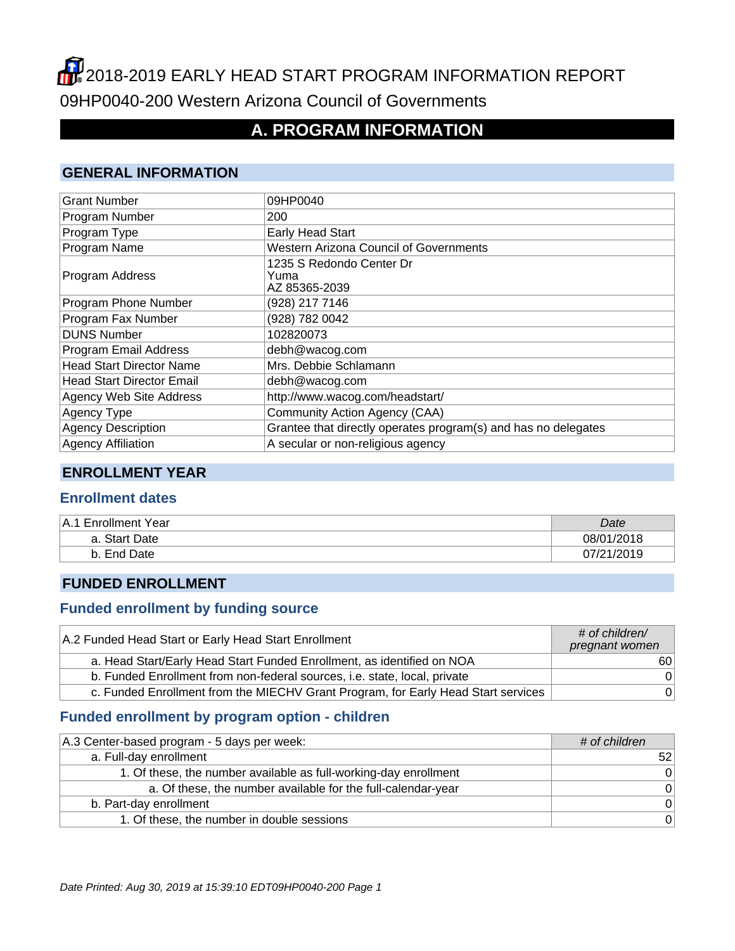# 2018-2019 EARLY HEAD START PROGRAM INFORMATION REPORT 09HP0040-200 Western Arizona Council of Governments

## **A. PROGRAM INFORMATION**

#### **GENERAL INFORMATION**

| <b>Grant Number</b>              | 09HP0040                                                       |
|----------------------------------|----------------------------------------------------------------|
| Program Number                   | 200                                                            |
| Program Type                     | Early Head Start                                               |
| Program Name                     | <b>Western Arizona Council of Governments</b>                  |
| Program Address                  | 1235 S Redondo Center Dr<br>Yuma<br>AZ 85365-2039              |
| Program Phone Number             | (928) 217 7146                                                 |
| Program Fax Number               | (928) 782 0042                                                 |
| <b>DUNS Number</b>               | 102820073                                                      |
| Program Email Address            | debh@wacog.com                                                 |
| <b>Head Start Director Name</b>  | Mrs. Debbie Schlamann                                          |
| <b>Head Start Director Email</b> | debh@wacog.com                                                 |
| Agency Web Site Address          | http://www.wacog.com/headstart/                                |
| Agency Type                      | Community Action Agency (CAA)                                  |
| <b>Agency Description</b>        | Grantee that directly operates program(s) and has no delegates |
| <b>Agency Affiliation</b>        | A secular or non-religious agency                              |

#### **ENROLLMENT YEAR**

#### **Enrollment dates**

| IA.1 Enrollment Year | Date       |
|----------------------|------------|
| a. Start Date        | 08/01/2018 |
| End Date             | 07/21/2019 |

#### **FUNDED ENROLLMENT**

#### **Funded enrollment by funding source**

| A.2 Funded Head Start or Early Head Start Enrollment                              | $#$ of children/<br>pregnant women |
|-----------------------------------------------------------------------------------|------------------------------------|
| a. Head Start/Early Head Start Funded Enrollment, as identified on NOA            | 60 l                               |
| b. Funded Enrollment from non-federal sources, i.e. state, local, private         | 0                                  |
| c. Funded Enrollment from the MIECHV Grant Program, for Early Head Start services | 0 <sup>1</sup>                     |

#### **Funded enrollment by program option - children**

| A.3 Center-based program - 5 days per week:                      | # of children |
|------------------------------------------------------------------|---------------|
| a. Full-day enrollment                                           | 521           |
| 1. Of these, the number available as full-working-day enrollment | $\Omega$      |
| a. Of these, the number available for the full-calendar-year     | $\Omega$      |
| b. Part-day enrollment                                           | $\Omega$      |
| 1. Of these, the number in double sessions                       | $\Omega$      |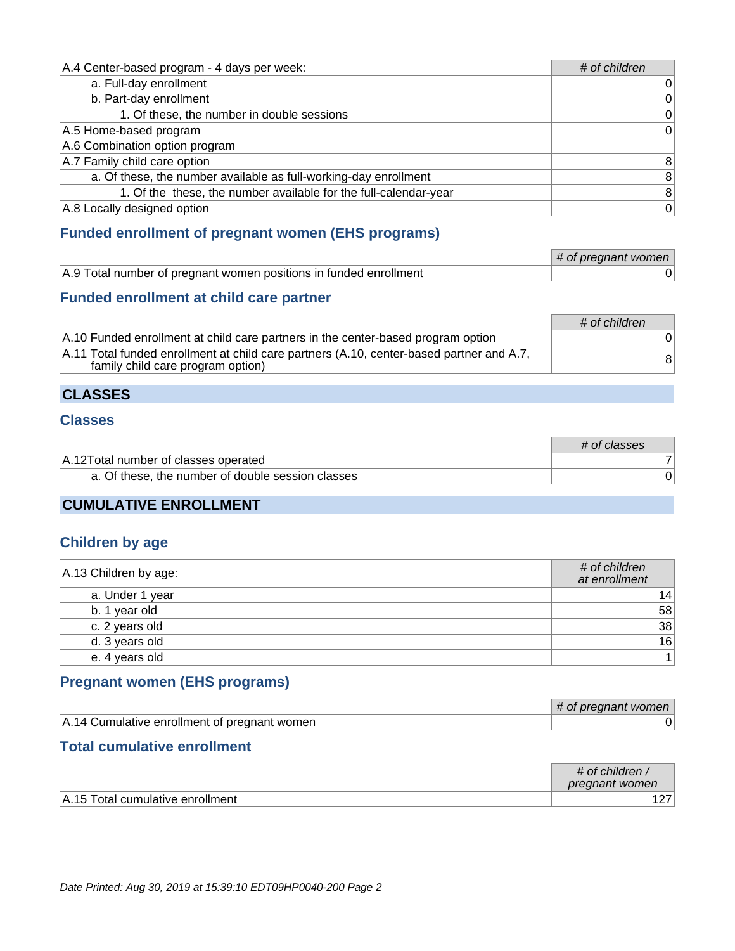| A.4 Center-based program - 4 days per week:                      | # of children   |
|------------------------------------------------------------------|-----------------|
| a. Full-day enrollment                                           | 0               |
| b. Part-day enrollment                                           | $\vert 0 \vert$ |
| 1. Of these, the number in double sessions                       | 0               |
| A.5 Home-based program                                           | $\overline{0}$  |
| A.6 Combination option program                                   |                 |
| A.7 Family child care option                                     | 8 <sup>1</sup>  |
| a. Of these, the number available as full-working-day enrollment | 8 <sup>1</sup>  |
| 1. Of the these, the number available for the full-calendar-year | 8 <sup>1</sup>  |
| A.8 Locally designed option                                      | 0               |

#### **Funded enrollment of pregnant women (EHS programs)**

|                                                                   | # of pregnant women |
|-------------------------------------------------------------------|---------------------|
| A.9 Total number of pregnant women positions in funded enrollment |                     |

#### **Funded enrollment at child care partner**

|                                                                                                                               | # of children |
|-------------------------------------------------------------------------------------------------------------------------------|---------------|
| A.10 Funded enrollment at child care partners in the center-based program option                                              |               |
| A.11 Total funded enrollment at child care partners (A.10, center-based partner and A.7,<br>family child care program option) | 81            |

#### **CLASSES**

#### **Classes**

|                                                   | # of classes |
|---------------------------------------------------|--------------|
| A.12 Total number of classes operated             |              |
| a. Of these, the number of double session classes |              |

## **CUMULATIVE ENROLLMENT**

#### **Children by age**

| A.13 Children by age: | # of children<br>at enrollment |
|-----------------------|--------------------------------|
| a. Under 1 year       | 14                             |
| b. 1 year old         | 58                             |
| c. 2 years old        | 38                             |
| d. 3 years old        | 16                             |
| e. 4 years old        |                                |

#### **Pregnant women (EHS programs)**

|                                              | preanant women<br>OT.<br>ᇁ |
|----------------------------------------------|----------------------------|
| A.14 Cumulative enrollment of pregnant women |                            |

#### **Total cumulative enrollment**

|                                  | $\#$ of children,<br>pregnant women |
|----------------------------------|-------------------------------------|
| A.15 Total cumulative enrollment |                                     |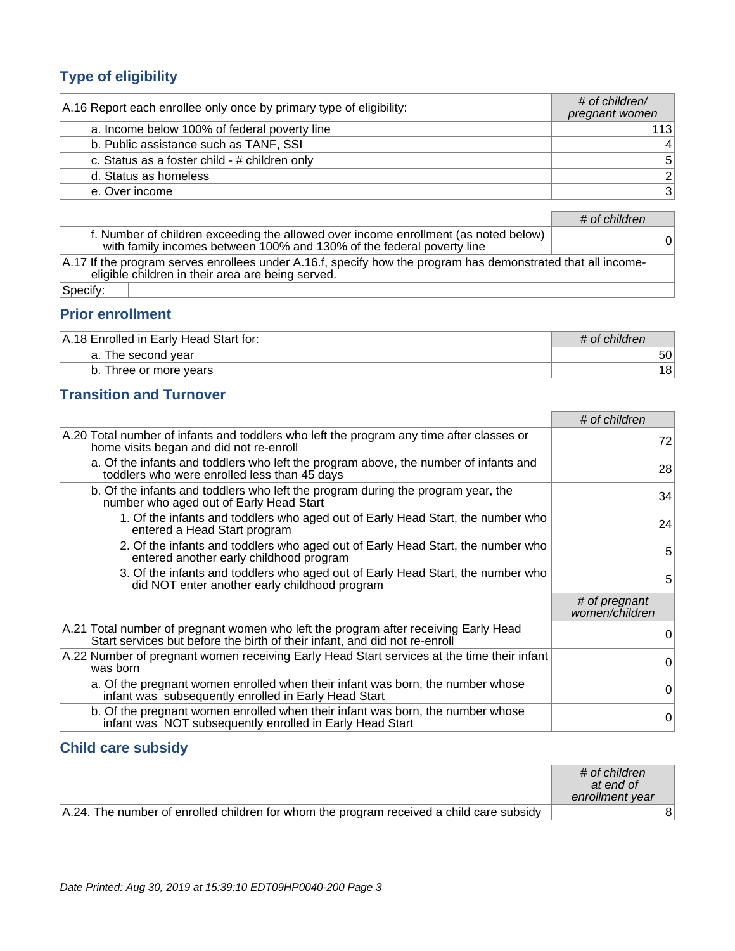## **Type of eligibility**

| A.16 Report each enrollee only once by primary type of eligibility: | $#$ of children/<br>pregnant women |
|---------------------------------------------------------------------|------------------------------------|
| a. Income below 100% of federal poverty line                        | 1131                               |
| b. Public assistance such as TANF, SSI                              | $\overline{4}$                     |
| c. Status as a foster child - # children only                       | 5 <sup>1</sup>                     |
| d. Status as homeless                                               | 2 <sup>1</sup>                     |
| e. Over income                                                      | 3 <sup>1</sup>                     |

|                                                                                                                                                                           | # of children |  |
|---------------------------------------------------------------------------------------------------------------------------------------------------------------------------|---------------|--|
| f. Number of children exceeding the allowed over income enrollment (as noted below)<br>with family incomes between 100% and 130% of the federal poverty line              | 0             |  |
| $\vert$ A.17 If the program serves enrollees under A.16.f, specify how the program has demonstrated that all income-<br>eligible children in their area are being served. |               |  |
| Specify:                                                                                                                                                                  |               |  |

## **Prior enrollment**

| A.18 Enrolled in Early Head Start for: | # of children |
|----------------------------------------|---------------|
| a. The second year                     | 50            |
| b. Three or more years                 | 18            |

## **Transition and Turnover**

|                                                                                                                                                                   | # of children                   |
|-------------------------------------------------------------------------------------------------------------------------------------------------------------------|---------------------------------|
| A.20 Total number of infants and toddlers who left the program any time after classes or<br>home visits began and did not re-enroll                               | 72                              |
| a. Of the infants and toddlers who left the program above, the number of infants and<br>toddlers who were enrolled less than 45 days                              | 28                              |
| b. Of the infants and toddlers who left the program during the program year, the<br>number who aged out of Early Head Start                                       | 34                              |
| 1. Of the infants and toddlers who aged out of Early Head Start, the number who<br>entered a Head Start program                                                   | 24                              |
| 2. Of the infants and toddlers who aged out of Early Head Start, the number who<br>entered another early childhood program                                        | 5                               |
| 3. Of the infants and toddlers who aged out of Early Head Start, the number who<br>did NOT enter another early childhood program                                  | 5                               |
|                                                                                                                                                                   | # of pregnant<br>women/children |
| A.21 Total number of pregnant women who left the program after receiving Early Head<br>Start services but before the birth of their infant, and did not re-enroll | 0                               |
| A.22 Number of pregnant women receiving Early Head Start services at the time their infant<br>was born                                                            | 0                               |
| a. Of the pregnant women enrolled when their infant was born, the number whose<br>infant was subsequently enrolled in Early Head Start                            | 0                               |
| b. Of the pregnant women enrolled when their infant was born, the number whose<br>infant was NOT subsequently enrolled in Early Head Start                        | $\Omega$                        |

#### **Child care subsidy**

|                                                                                          | # of children<br>at end of<br>enrollment year |
|------------------------------------------------------------------------------------------|-----------------------------------------------|
| A.24. The number of enrolled children for whom the program received a child care subsidy |                                               |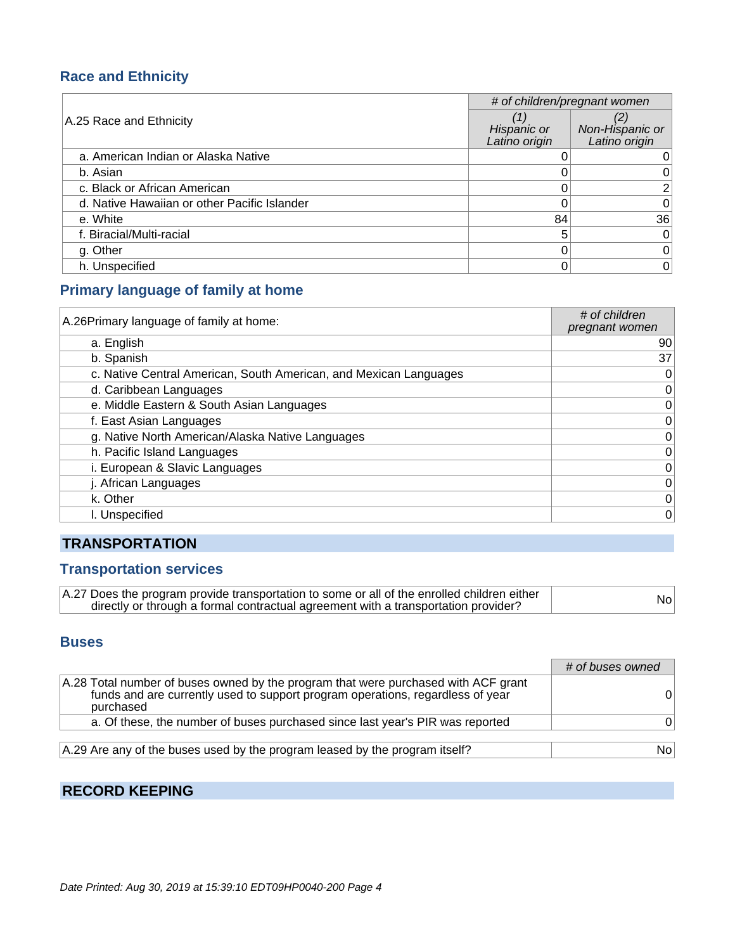#### **Race and Ethnicity**

|                                              | # of children/pregnant women |                                  |
|----------------------------------------------|------------------------------|----------------------------------|
| A.25 Race and Ethnicity                      | Hispanic or<br>Latino origin | Non-Hispanic or<br>Latino origin |
| a. American Indian or Alaska Native          |                              |                                  |
| b. Asian                                     |                              |                                  |
| c. Black or African American                 |                              | 21                               |
| d. Native Hawaiian or other Pacific Islander |                              | $\Omega$                         |
| e. White                                     | 84                           | 36                               |
| f. Biracial/Multi-racial                     | 5                            | $\Omega$                         |
| g. Other                                     |                              | 0                                |
| h. Unspecified                               |                              | $\overline{0}$                   |

#### **Primary language of family at home**

| A.26 Primary language of family at home:                          | # of children<br>pregnant women |
|-------------------------------------------------------------------|---------------------------------|
| a. English                                                        | 90                              |
| b. Spanish                                                        | 37                              |
| c. Native Central American, South American, and Mexican Languages | 0                               |
| d. Caribbean Languages                                            | 0                               |
| e. Middle Eastern & South Asian Languages                         | $\mathbf 0$                     |
| f. East Asian Languages                                           | 0                               |
| g. Native North American/Alaska Native Languages                  | $\mathbf 0$                     |
| h. Pacific Island Languages                                       | $\mathbf 0$                     |
| i. European & Slavic Languages                                    | $\mathbf 0$                     |
| j. African Languages                                              | 0                               |
| k. Other                                                          | $\mathbf 0$                     |
| I. Unspecified                                                    | $\mathbf 0$                     |

## **TRANSPORTATION**

#### **Transportation services**

| A.27 Does the program provide transportation to some or all of the enrolled children either | Nol |
|---------------------------------------------------------------------------------------------|-----|
| directly or through a formal contractual agreement with a transportation provider?          |     |

#### **Buses**

|                                                                                                                                                                                   | # of buses owned |
|-----------------------------------------------------------------------------------------------------------------------------------------------------------------------------------|------------------|
| A.28 Total number of buses owned by the program that were purchased with ACF grant<br>funds and are currently used to support program operations, regardless of year<br>purchased | $^{\rm o}$       |
| a. Of these, the number of buses purchased since last year's PIR was reported                                                                                                     | O.               |
| A.29 Are any of the buses used by the program leased by the program itself?                                                                                                       | No.              |

## **RECORD KEEPING**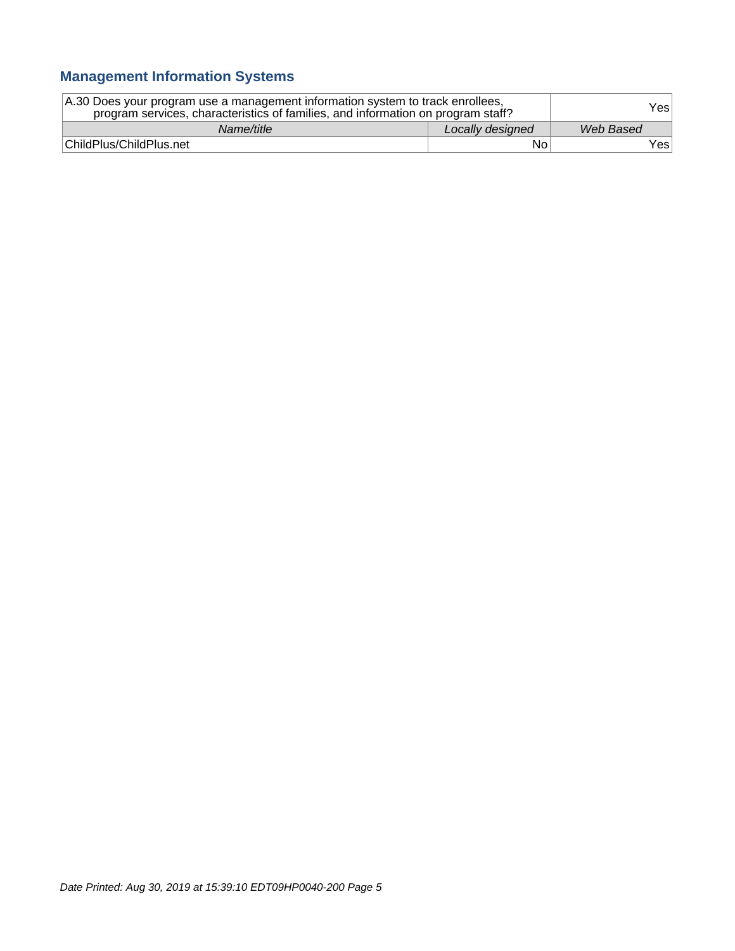## **Management Information Systems**

| A.30 Does your program use a management information system to track enrollees,<br>program services, characteristics of families, and information on program staff? |                  | Yesl      |
|--------------------------------------------------------------------------------------------------------------------------------------------------------------------|------------------|-----------|
| Name/title                                                                                                                                                         | Locally designed | Web Based |
| ChildPlus/ChildPlus.net                                                                                                                                            | No               | Yes∣      |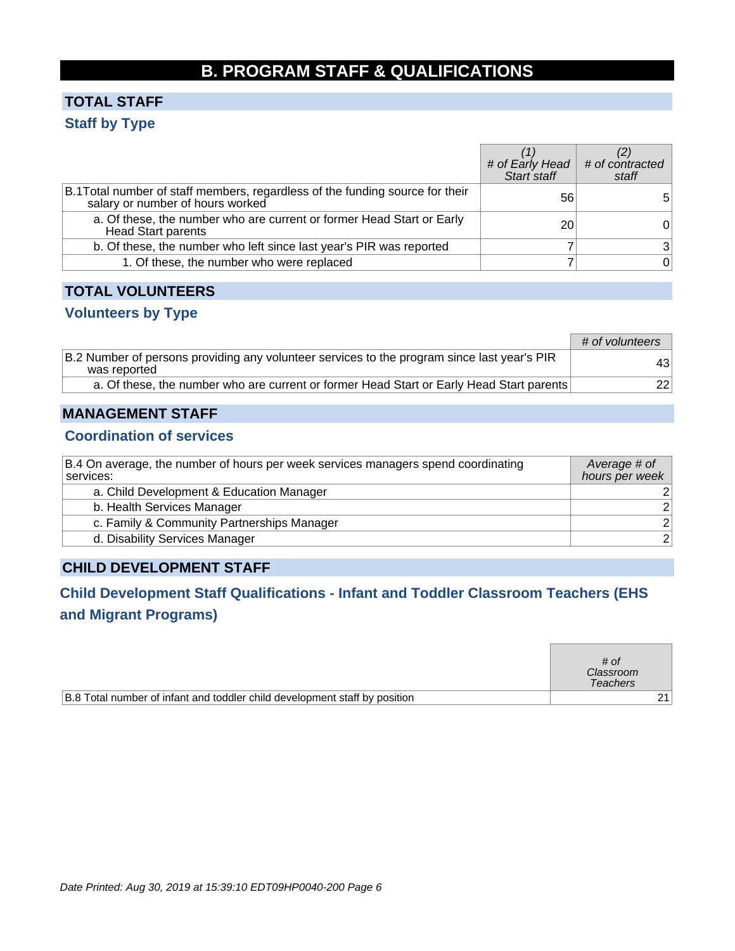## **B. PROGRAM STAFF & QUALIFICATIONS**

## **TOTAL STAFF Staff by Type**

|                                                                                                                   |                 | # of Early Head # of contracted<br>Start staff staff staff |
|-------------------------------------------------------------------------------------------------------------------|-----------------|------------------------------------------------------------|
| B.1 Total number of staff members, regardless of the funding source for their<br>salary or number of hours worked | 56              | 5.                                                         |
| a. Of these, the number who are current or former Head Start or Early<br><b>Head Start parents</b>                | 20 <sub>1</sub> |                                                            |
| b. Of these, the number who left since last year's PIR was reported                                               |                 | 3 <sup>1</sup>                                             |
| 1. Of these, the number who were replaced                                                                         |                 | $\overline{0}$                                             |

#### **TOTAL VOLUNTEERS**

#### **Volunteers by Type**

|                                                                                                             | # of volunteers |
|-------------------------------------------------------------------------------------------------------------|-----------------|
| B.2 Number of persons providing any volunteer services to the program since last year's PIR<br>was reported | 431             |
| a. Of these, the number who are current or former Head Start or Early Head Start parents                    | 22 <sub>1</sub> |

#### **MANAGEMENT STAFF**

#### **Coordination of services**

| B.4 On average, the number of hours per week services managers spend coordinating<br>services: | Average # of<br>hours per week |
|------------------------------------------------------------------------------------------------|--------------------------------|
| a. Child Development & Education Manager                                                       |                                |
| b. Health Services Manager                                                                     | 2 <sup>1</sup>                 |
| c. Family & Community Partnerships Manager                                                     | 2 <sup>1</sup>                 |
| d. Disability Services Manager                                                                 | 2 <sup>1</sup>                 |

#### **CHILD DEVELOPMENT STAFF**

## **Child Development Staff Qualifications - Infant and Toddler Classroom Teachers (EHS and Migrant Programs)**

|                                                                            | # of<br>Classroom<br><b>Teachers</b> |  |
|----------------------------------------------------------------------------|--------------------------------------|--|
| B.8 Total number of infant and toddler child development staff by position |                                      |  |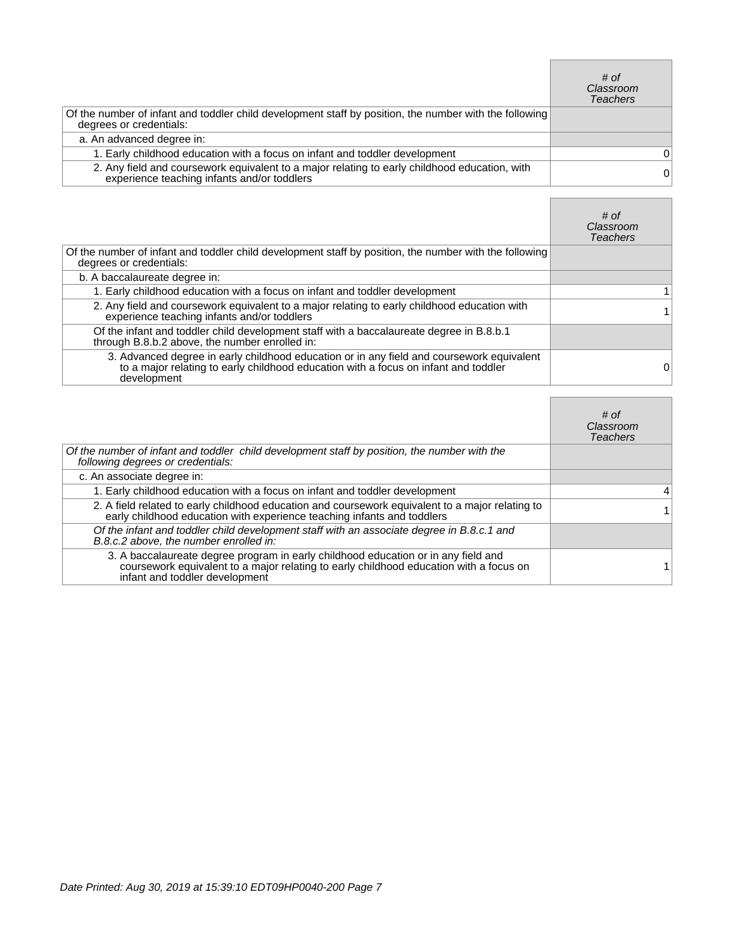|                                                                                                                                              | # of<br>Classroom<br><b>Teachers</b> |
|----------------------------------------------------------------------------------------------------------------------------------------------|--------------------------------------|
| Of the number of infant and toddler child development staff by position, the number with the following<br>degrees or credentials:            |                                      |
| a. An advanced degree in:                                                                                                                    |                                      |
| 1. Early childhood education with a focus on infant and toddler development                                                                  | 0                                    |
| 2. Any field and coursework equivalent to a major relating to early childhood education, with<br>experience teaching infants and/or toddlers | 0                                    |

Г

٦

|                                                                                                                                                                                                 | # of<br>Classroom<br><b>Teachers</b> |
|-------------------------------------------------------------------------------------------------------------------------------------------------------------------------------------------------|--------------------------------------|
| Of the number of infant and toddler child development staff by position, the number with the following<br>degrees or credentials:                                                               |                                      |
| b. A baccalaureate degree in:                                                                                                                                                                   |                                      |
| 1. Early childhood education with a focus on infant and toddler development                                                                                                                     |                                      |
| 2. Any field and coursework equivalent to a major relating to early childhood education with<br>experience teaching infants and/or toddlers                                                     |                                      |
| Of the infant and toddler child development staff with a baccalaureate degree in B.8.b.1<br>through B.8.b.2 above, the number enrolled in:                                                      |                                      |
| 3. Advanced degree in early childhood education or in any field and coursework equivalent<br>to a major relating to early childhood education with a focus on infant and toddler<br>development | 0                                    |

|                                                                                                                                                                                                                | # of<br>Classroom<br>Teachers |
|----------------------------------------------------------------------------------------------------------------------------------------------------------------------------------------------------------------|-------------------------------|
| Of the number of infant and toddler child development staff by position, the number with the<br>following degrees or credentials:                                                                              |                               |
| c. An associate degree in:                                                                                                                                                                                     |                               |
| 1. Early childhood education with a focus on infant and toddler development                                                                                                                                    | 4                             |
| 2. A field related to early childhood education and coursework equivalent to a major relating to<br>early childhood education with experience teaching infants and toddlers                                    |                               |
| Of the infant and toddler child development staff with an associate degree in B.8.c.1 and<br>B.8.c.2 above, the number enrolled in:                                                                            |                               |
| 3. A baccalaureate degree program in early childhood education or in any field and<br>coursework equivalent to a major relating to early childhood education with a focus on<br>infant and toddler development |                               |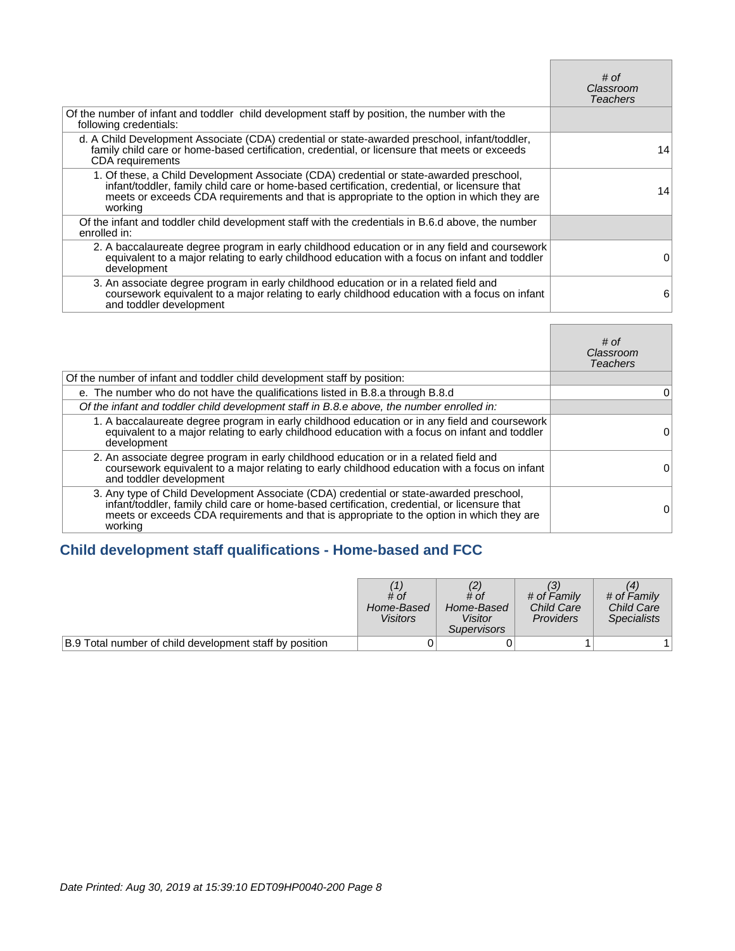|                                                                                                                                                                                                                                                                                                 | # of<br>Classroom<br><b>Teachers</b> |
|-------------------------------------------------------------------------------------------------------------------------------------------------------------------------------------------------------------------------------------------------------------------------------------------------|--------------------------------------|
| Of the number of infant and toddler child development staff by position, the number with the<br>following credentials:                                                                                                                                                                          |                                      |
| d. A Child Development Associate (CDA) credential or state-awarded preschool, infant/toddler,<br>family child care or home-based certification, credential, or licensure that meets or exceeds<br><b>CDA</b> requirements                                                                       | 14                                   |
| 1. Of these, a Child Development Associate (CDA) credential or state-awarded preschool,<br>infant/toddler, family child care or home-based certification, credential, or licensure that<br>meets or exceeds CDA requirements and that is appropriate to the option in which they are<br>working | 14                                   |
| Of the infant and toddler child development staff with the credentials in B.6.d above, the number<br>enrolled in:                                                                                                                                                                               |                                      |
| 2. A baccalaureate degree program in early childhood education or in any field and coursework<br>equivalent to a major relating to early childhood education with a focus on infant and toddler<br>development                                                                                  | O                                    |
| 3. An associate degree program in early childhood education or in a related field and<br>coursework equivalent to a major relating to early childhood education with a focus on infant<br>and toddler development                                                                               | 6                                    |

Г

 $\blacksquare$ 

|                                                                                                                                                                                                                                                                                                 | # of<br>Classroom<br>Teachers |
|-------------------------------------------------------------------------------------------------------------------------------------------------------------------------------------------------------------------------------------------------------------------------------------------------|-------------------------------|
| Of the number of infant and toddler child development staff by position:                                                                                                                                                                                                                        |                               |
| e. The number who do not have the qualifications listed in B.8.a through B.8.d                                                                                                                                                                                                                  | 0                             |
| Of the infant and toddler child development staff in B.8.e above, the number enrolled in:                                                                                                                                                                                                       |                               |
| 1. A baccalaureate degree program in early childhood education or in any field and coursework<br>equivalent to a major relating to early childhood education with a focus on infant and toddler<br>development                                                                                  | 0                             |
| 2. An associate degree program in early childhood education or in a related field and<br>coursework equivalent to a major relating to early childhood education with a focus on infant<br>and toddler development                                                                               | O                             |
| 3. Any type of Child Development Associate (CDA) credential or state-awarded preschool,<br>infant/toddler, family child care or home-based certification, credential, or licensure that<br>meets or exceeds CDA requirements and that is appropriate to the option in which they are<br>working | Ω                             |

## **Child development staff qualifications - Home-based and FCC**

|                                                         | # of<br>Home-Based<br><b>Visitors</b> | # of<br>Home-Based<br>Visitor<br><i>Supervisors</i> | # of Family<br><b>Child Care</b><br><b>Providers</b> | # of Family<br><b>Child Care</b><br><b>Specialists</b> |
|---------------------------------------------------------|---------------------------------------|-----------------------------------------------------|------------------------------------------------------|--------------------------------------------------------|
| B.9 Total number of child development staff by position |                                       |                                                     |                                                      |                                                        |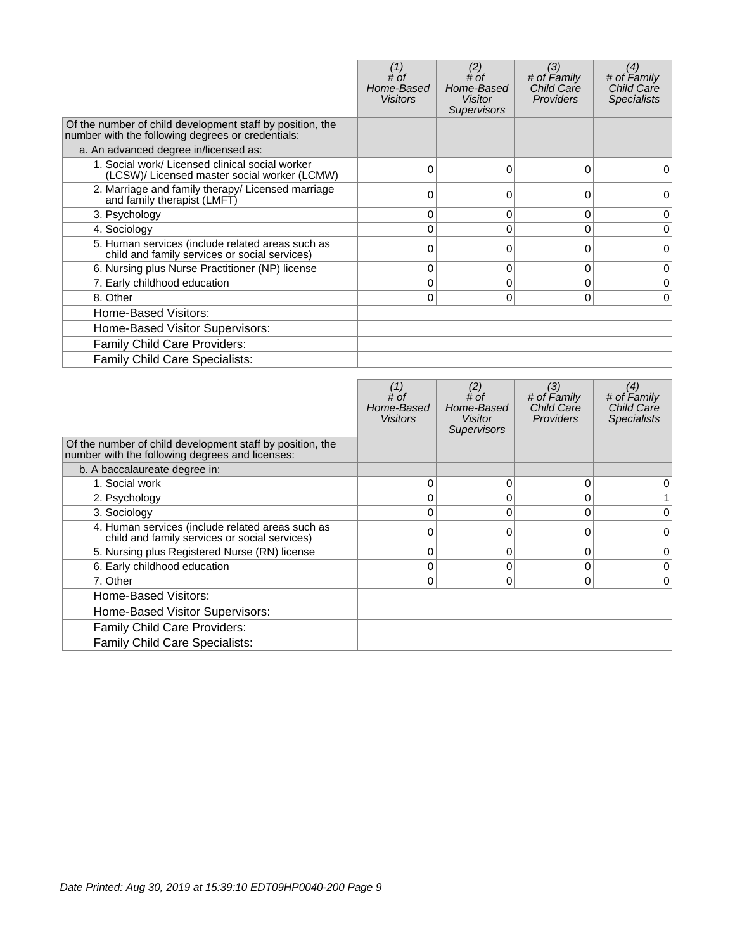|                                                                                                                | # of<br>Home-Based<br><b>Visitors</b> | (2)<br>$#$ of<br>Home-Based<br><b>Visitor</b><br><b>Supervisors</b> | (3)<br># of Family<br><b>Child Care</b><br><b>Providers</b> | (4)<br># of Family<br>Child Care<br><b>Specialists</b> |
|----------------------------------------------------------------------------------------------------------------|---------------------------------------|---------------------------------------------------------------------|-------------------------------------------------------------|--------------------------------------------------------|
| Of the number of child development staff by position, the<br>number with the following degrees or credentials: |                                       |                                                                     |                                                             |                                                        |
| a. An advanced degree in/licensed as:                                                                          |                                       |                                                                     |                                                             |                                                        |
| 1. Social work/ Licensed clinical social worker<br>(LCSW)/ Licensed master social worker (LCMW)                | 0                                     | $\Omega$                                                            | 0                                                           | 0                                                      |
| 2. Marriage and family therapy/ Licensed marriage<br>and family therapist (LMFT)                               |                                       |                                                                     | 0                                                           | 0                                                      |
| 3. Psychology                                                                                                  | 0                                     | 0                                                                   | 0                                                           | 0                                                      |
| 4. Sociology                                                                                                   |                                       | $\Omega$                                                            | $\Omega$                                                    | 0                                                      |
| 5. Human services (include related areas such as<br>child and family services or social services)              | 0                                     | 0                                                                   | $\Omega$                                                    | $\Omega$                                               |
| 6. Nursing plus Nurse Practitioner (NP) license                                                                | 0                                     | 0                                                                   | 0                                                           | 0                                                      |
| 7. Early childhood education                                                                                   | 0                                     | 0                                                                   | $\Omega$                                                    | 0                                                      |
| 8. Other                                                                                                       | 0                                     | $\Omega$                                                            | 0                                                           | 0                                                      |
| Home-Based Visitors:                                                                                           |                                       |                                                                     |                                                             |                                                        |
| Home-Based Visitor Supervisors:                                                                                |                                       |                                                                     |                                                             |                                                        |
| <b>Family Child Care Providers:</b>                                                                            |                                       |                                                                     |                                                             |                                                        |
| Family Child Care Specialists:                                                                                 |                                       |                                                                     |                                                             |                                                        |

|                                                                                                              | # of<br>Home-Based<br><b>Visitors</b> | (2)<br># of<br>Home-Based<br><b>Visitor</b><br><b>Supervisors</b> | (3)<br># of Family<br><b>Child Care</b><br><b>Providers</b> | (4)<br># of Family<br><b>Child Care</b><br><b>Specialists</b> |
|--------------------------------------------------------------------------------------------------------------|---------------------------------------|-------------------------------------------------------------------|-------------------------------------------------------------|---------------------------------------------------------------|
| Of the number of child development staff by position, the<br>number with the following degrees and licenses: |                                       |                                                                   |                                                             |                                                               |
| b. A baccalaureate degree in:                                                                                |                                       |                                                                   |                                                             |                                                               |
| 1. Social work                                                                                               | $\Omega$                              | 0                                                                 | 0                                                           | 0                                                             |
| 2. Psychology                                                                                                | 0                                     | 0                                                                 | 0                                                           |                                                               |
| 3. Sociology                                                                                                 | $\Omega$                              | 0                                                                 | $\Omega$                                                    | 0                                                             |
| 4. Human services (include related areas such as<br>child and family services or social services)            | O                                     |                                                                   | 0                                                           | 0                                                             |
| 5. Nursing plus Registered Nurse (RN) license                                                                | $\Omega$                              | 0                                                                 | $\Omega$                                                    | 0                                                             |
| 6. Early childhood education                                                                                 | 0                                     | 0                                                                 | $\Omega$                                                    | 0                                                             |
| 7. Other                                                                                                     | 0                                     | 0                                                                 | $\Omega$                                                    | 0                                                             |
| Home-Based Visitors:                                                                                         |                                       |                                                                   |                                                             |                                                               |
| Home-Based Visitor Supervisors:                                                                              |                                       |                                                                   |                                                             |                                                               |
| Family Child Care Providers:                                                                                 |                                       |                                                                   |                                                             |                                                               |
| Family Child Care Specialists:                                                                               |                                       |                                                                   |                                                             |                                                               |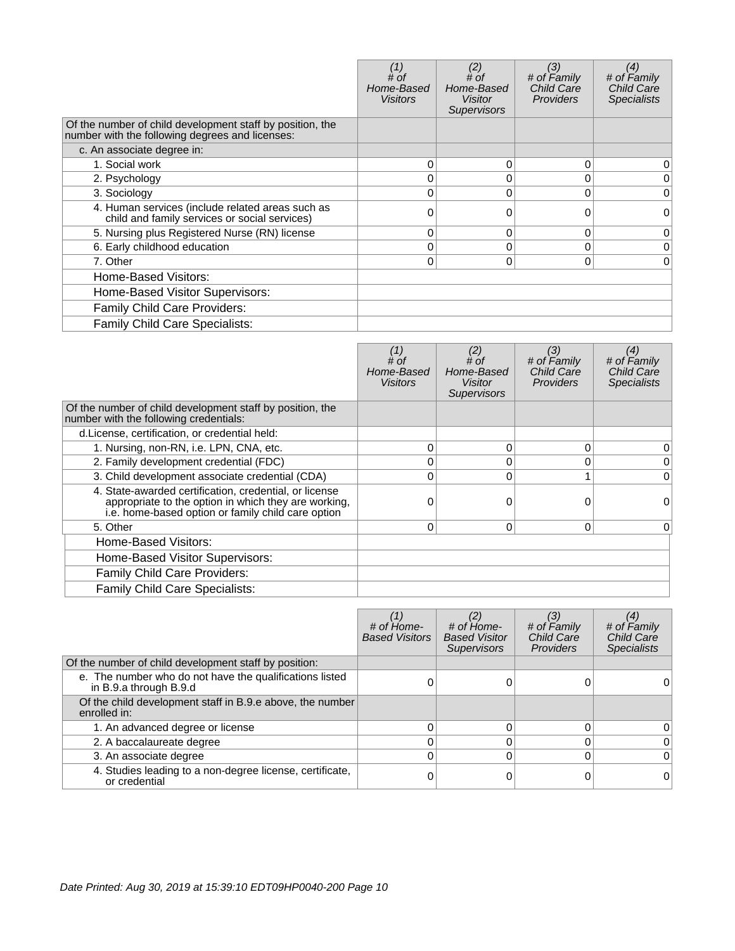|                                                                                                              | # of<br>Home-Based<br><b>Visitors</b> | (2)<br># of<br>Home-Based<br>Visitor<br><b>Supervisors</b> | (3)<br># of Family<br><b>Child Care</b><br><b>Providers</b> | (4)<br># of Family<br><b>Child Care</b><br><b>Specialists</b> |
|--------------------------------------------------------------------------------------------------------------|---------------------------------------|------------------------------------------------------------|-------------------------------------------------------------|---------------------------------------------------------------|
| Of the number of child development staff by position, the<br>number with the following degrees and licenses: |                                       |                                                            |                                                             |                                                               |
| c. An associate degree in:                                                                                   |                                       |                                                            |                                                             |                                                               |
| 1. Social work                                                                                               | 0                                     | 0                                                          | $\Omega$                                                    | 0                                                             |
| 2. Psychology                                                                                                |                                       | 0                                                          | 0                                                           | 0                                                             |
| 3. Sociology                                                                                                 | 0                                     | 0                                                          | $\Omega$                                                    | 0                                                             |
| 4. Human services (include related areas such as<br>child and family services or social services)            | ი                                     | O                                                          | 0                                                           | 0                                                             |
| 5. Nursing plus Registered Nurse (RN) license                                                                | 0                                     | 0                                                          | 0                                                           | 0                                                             |
| 6. Early childhood education                                                                                 | 0                                     | 0                                                          | $\mathbf 0$                                                 | 0                                                             |
| 7. Other                                                                                                     | 0                                     | 0                                                          | 0                                                           | $\Omega$                                                      |
| Home-Based Visitors:                                                                                         |                                       |                                                            |                                                             |                                                               |
| Home-Based Visitor Supervisors:                                                                              |                                       |                                                            |                                                             |                                                               |
| Family Child Care Providers:                                                                                 |                                       |                                                            |                                                             |                                                               |
| <b>Family Child Care Specialists:</b>                                                                        |                                       |                                                            |                                                             |                                                               |

|                                                                                                                                                                      | # of<br>Home-Based<br>Visitors | (2)<br># of<br>Home-Based<br>Visitor<br>Supervisors | (3)<br># of Family<br><b>Child Care</b><br><b>Providers</b> | (4)<br># of Family<br><b>Child Care</b><br><b>Specialists</b> |
|----------------------------------------------------------------------------------------------------------------------------------------------------------------------|--------------------------------|-----------------------------------------------------|-------------------------------------------------------------|---------------------------------------------------------------|
| Of the number of child development staff by position, the<br>number with the following credentials:                                                                  |                                |                                                     |                                                             |                                                               |
| d. License, certification, or credential held:                                                                                                                       |                                |                                                     |                                                             |                                                               |
| 1. Nursing, non-RN, i.e. LPN, CNA, etc.                                                                                                                              | 0                              | 0                                                   | 0                                                           | 0                                                             |
| 2. Family development credential (FDC)                                                                                                                               |                                | $\Omega$                                            | 0                                                           | 0                                                             |
| 3. Child development associate credential (CDA)                                                                                                                      |                                | $\Omega$                                            |                                                             | $\Omega$                                                      |
| 4. State-awarded certification, credential, or license<br>appropriate to the option in which they are working,<br>i.e. home-based option or family child care option |                                | $\Omega$                                            | 0                                                           | 0                                                             |
| 5. Other                                                                                                                                                             | 0                              | 0                                                   | 0                                                           | $\overline{0}$                                                |
| Home-Based Visitors:                                                                                                                                                 |                                |                                                     |                                                             |                                                               |
| Home-Based Visitor Supervisors:                                                                                                                                      |                                |                                                     |                                                             |                                                               |
| <b>Family Child Care Providers:</b>                                                                                                                                  |                                |                                                     |                                                             |                                                               |
| <b>Family Child Care Specialists:</b>                                                                                                                                |                                |                                                     |                                                             |                                                               |

|                                                                                   | # of Home-<br><b>Based Visitors</b> | # of Home-<br><b>Based Visitor</b><br><b>Supervisors</b> | (3)<br># of Family<br><b>Child Care</b><br><b>Providers</b> | (4)<br># of Family<br>Child Care<br><b>Specialists</b> |
|-----------------------------------------------------------------------------------|-------------------------------------|----------------------------------------------------------|-------------------------------------------------------------|--------------------------------------------------------|
| Of the number of child development staff by position:                             |                                     |                                                          |                                                             |                                                        |
| e. The number who do not have the qualifications listed<br>in B.9.a through B.9.d |                                     |                                                          |                                                             |                                                        |
| Of the child development staff in B.9.e above, the number<br>enrolled in:         |                                     |                                                          |                                                             |                                                        |
| 1. An advanced degree or license                                                  |                                     |                                                          | 0                                                           | 0                                                      |
| 2. A baccalaureate degree                                                         |                                     |                                                          | C                                                           | 0                                                      |
| 3. An associate degree                                                            |                                     |                                                          | 0                                                           | $\Omega$                                               |
| 4. Studies leading to a non-degree license, certificate,<br>or credential         |                                     |                                                          |                                                             | 0                                                      |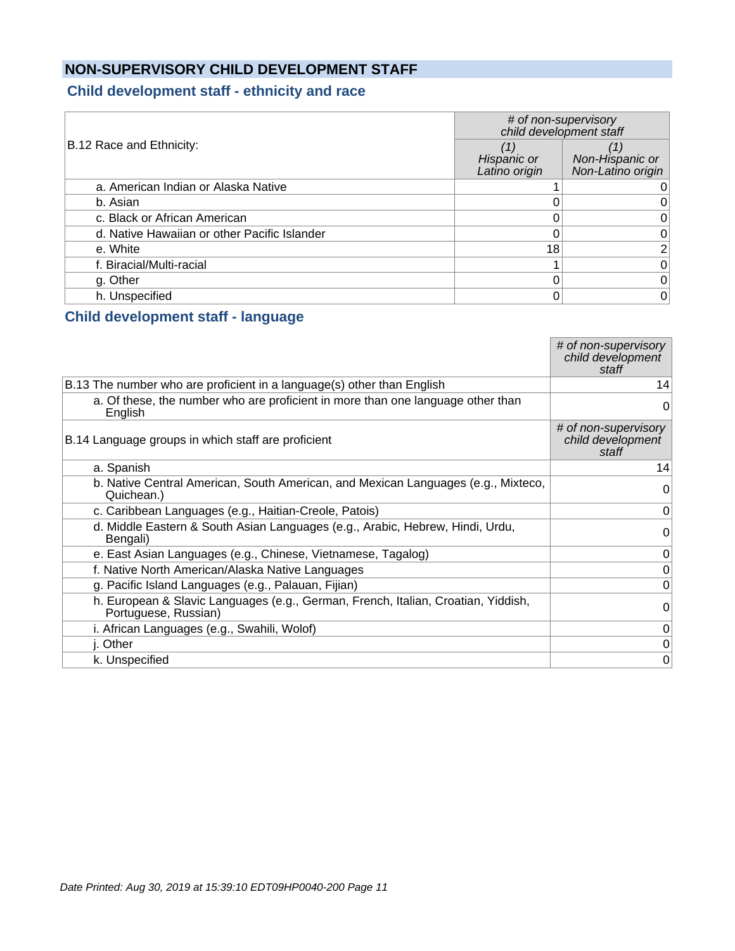## **NON-SUPERVISORY CHILD DEVELOPMENT STAFF**

#### **Child development staff - ethnicity and race**

|                                              | # of non-supervisory<br>child development staff |                                      |
|----------------------------------------------|-------------------------------------------------|--------------------------------------|
| B.12 Race and Ethnicity:                     | Hispanic or<br>Latino origin                    | Non-Hispanic or<br>Non-Latino origin |
| a. American Indian or Alaska Native          |                                                 |                                      |
| b. Asian                                     |                                                 |                                      |
| c. Black or African American                 |                                                 | 0                                    |
| d. Native Hawaiian or other Pacific Islander |                                                 | 0                                    |
| e. White                                     | 18                                              | 2 <sub>1</sub>                       |
| f. Biracial/Multi-racial                     |                                                 | 0                                    |
| g. Other                                     |                                                 | $\Omega$                             |
| h. Unspecified                               |                                                 | 0                                    |

#### **Child development staff - language**

|                                                                                                           | # of non-supervisory<br>child development<br>staff |
|-----------------------------------------------------------------------------------------------------------|----------------------------------------------------|
| B.13 The number who are proficient in a language(s) other than English                                    | 14                                                 |
| a. Of these, the number who are proficient in more than one language other than<br>English                | 0                                                  |
| B.14 Language groups in which staff are proficient                                                        | # of non-supervisory<br>child development<br>staff |
| a. Spanish                                                                                                | 14                                                 |
| b. Native Central American, South American, and Mexican Languages (e.g., Mixteco,<br>Quichean.)           | 0                                                  |
| c. Caribbean Languages (e.g., Haitian-Creole, Patois)                                                     | 0                                                  |
| d. Middle Eastern & South Asian Languages (e.g., Arabic, Hebrew, Hindi, Urdu,<br>Bengali)                 | 0                                                  |
| e. East Asian Languages (e.g., Chinese, Vietnamese, Tagalog)                                              | 0                                                  |
| f. Native North American/Alaska Native Languages                                                          | $\pmb{0}$                                          |
| g. Pacific Island Languages (e.g., Palauan, Fijian)                                                       | 0                                                  |
| h. European & Slavic Languages (e.g., German, French, Italian, Croatian, Yiddish,<br>Portuguese, Russian) | 0                                                  |
| i. African Languages (e.g., Swahili, Wolof)                                                               | 0                                                  |
| j. Other                                                                                                  | 0                                                  |
| k. Unspecified                                                                                            | 0                                                  |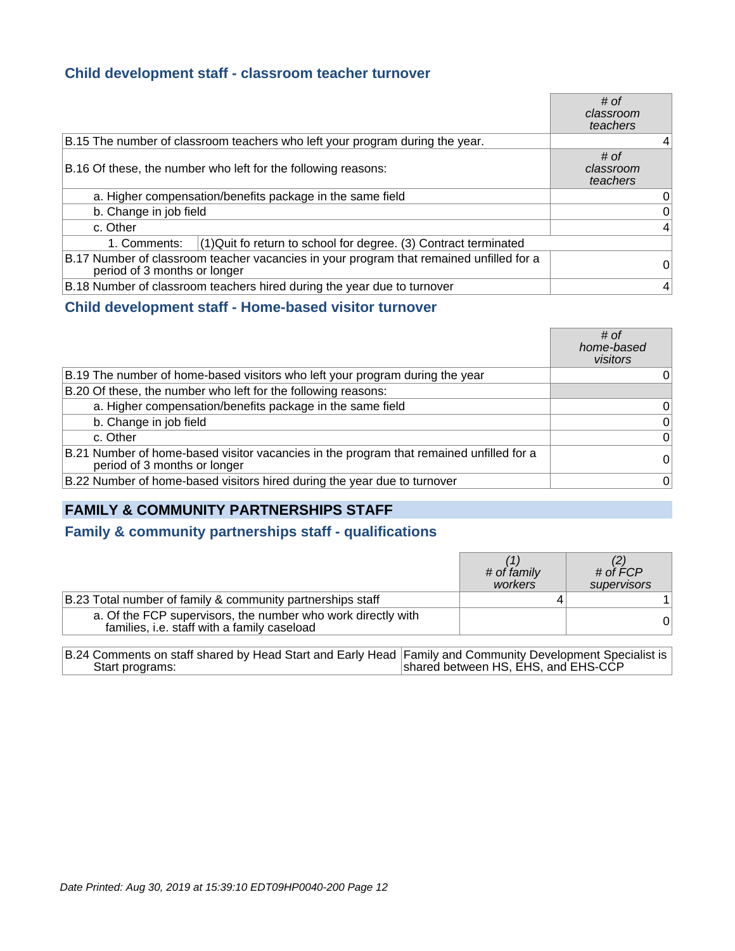#### **Child development staff - classroom teacher turnover**

|                                                                                                                         | # of<br>classroom<br>teachers |
|-------------------------------------------------------------------------------------------------------------------------|-------------------------------|
| B.15 The number of classroom teachers who left your program during the year.                                            | 4                             |
| B.16 Of these, the number who left for the following reasons:                                                           | # of<br>classroom<br>teachers |
| a. Higher compensation/benefits package in the same field                                                               | 0                             |
| b. Change in job field                                                                                                  | 0                             |
| c. Other                                                                                                                | 4                             |
| $(1)$ Quit fo return to school for degree. (3) Contract terminated<br>1. Comments:                                      |                               |
| B.17 Number of classroom teacher vacancies in your program that remained unfilled for a<br>period of 3 months or longer | 0                             |
| B.18 Number of classroom teachers hired during the year due to turnover                                                 | 4                             |

#### **Child development staff - Home-based visitor turnover**

|                                                                                                                         | # of<br>home-based<br>visitors |
|-------------------------------------------------------------------------------------------------------------------------|--------------------------------|
| B.19 The number of home-based visitors who left your program during the year                                            | 0                              |
| B.20 Of these, the number who left for the following reasons:                                                           |                                |
| a. Higher compensation/benefits package in the same field                                                               | 0                              |
| b. Change in job field                                                                                                  | 0                              |
| c. Other                                                                                                                | $\overline{0}$                 |
| B.21 Number of home-based visitor vacancies in the program that remained unfilled for a<br>period of 3 months or longer | $\overline{0}$                 |
| B.22 Number of home-based visitors hired during the year due to turnover                                                | $\overline{0}$                 |

#### **FAMILY & COMMUNITY PARTNERSHIPS STAFF**

#### **Family & community partnerships staff - qualifications**

|                                                                                                             | # of family<br>workers | # of $\overline{FCP}$<br>supervisors |
|-------------------------------------------------------------------------------------------------------------|------------------------|--------------------------------------|
| B.23 Total number of family & community partnerships staff                                                  |                        |                                      |
| a. Of the FCP supervisors, the number who work directly with<br>families, i.e. staff with a family caseload |                        |                                      |

B.24 Comments on staff shared by Head Start and Early Head Start programs: Family and Community Development Specialist is shared between HS, EHS, and EHS-CCP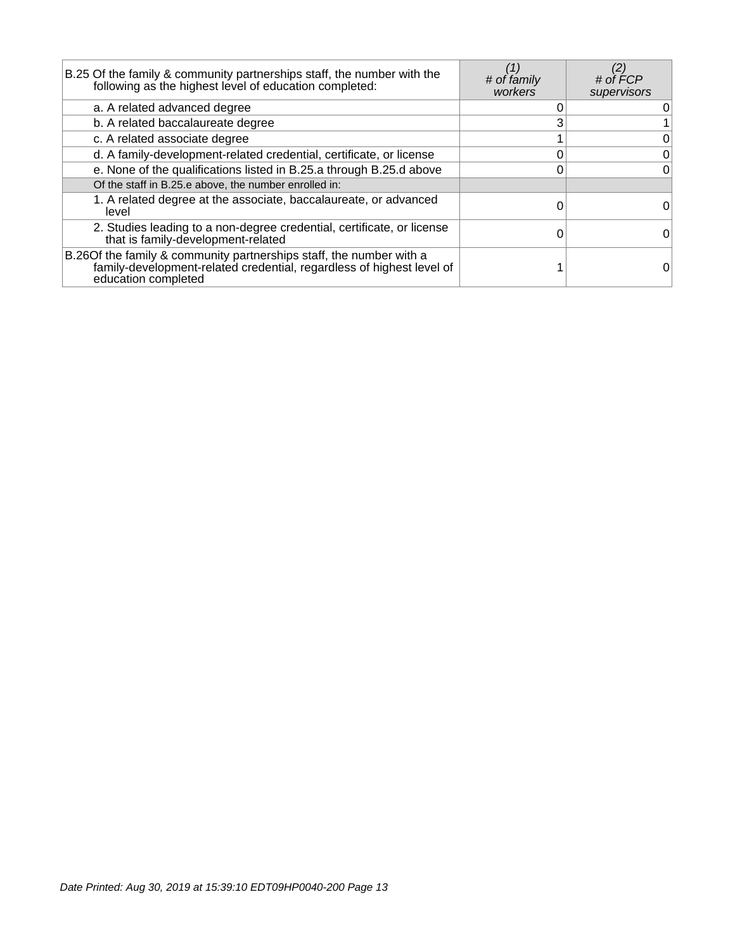| B.25 Of the family & community partnerships staff, the number with the<br>following as the highest level of education completed:                                     | # of family<br>workers | # of FCP<br>supervisors |
|----------------------------------------------------------------------------------------------------------------------------------------------------------------------|------------------------|-------------------------|
| a. A related advanced degree                                                                                                                                         |                        | 0                       |
| b. A related baccalaureate degree                                                                                                                                    |                        |                         |
| c. A related associate degree                                                                                                                                        |                        | 0                       |
| d. A family-development-related credential, certificate, or license                                                                                                  |                        | $\overline{0}$          |
| e. None of the qualifications listed in B.25.a through B.25.d above                                                                                                  |                        | $\overline{0}$          |
| Of the staff in B.25.e above, the number enrolled in:                                                                                                                |                        |                         |
| 1. A related degree at the associate, baccalaureate, or advanced<br>level                                                                                            |                        | 0                       |
| 2. Studies leading to a non-degree credential, certificate, or license<br>that is family-development-related                                                         |                        | 0                       |
| B.26 Of the family & community partnerships staff, the number with a<br>family-development-related credential, regardless of highest level of<br>education completed |                        |                         |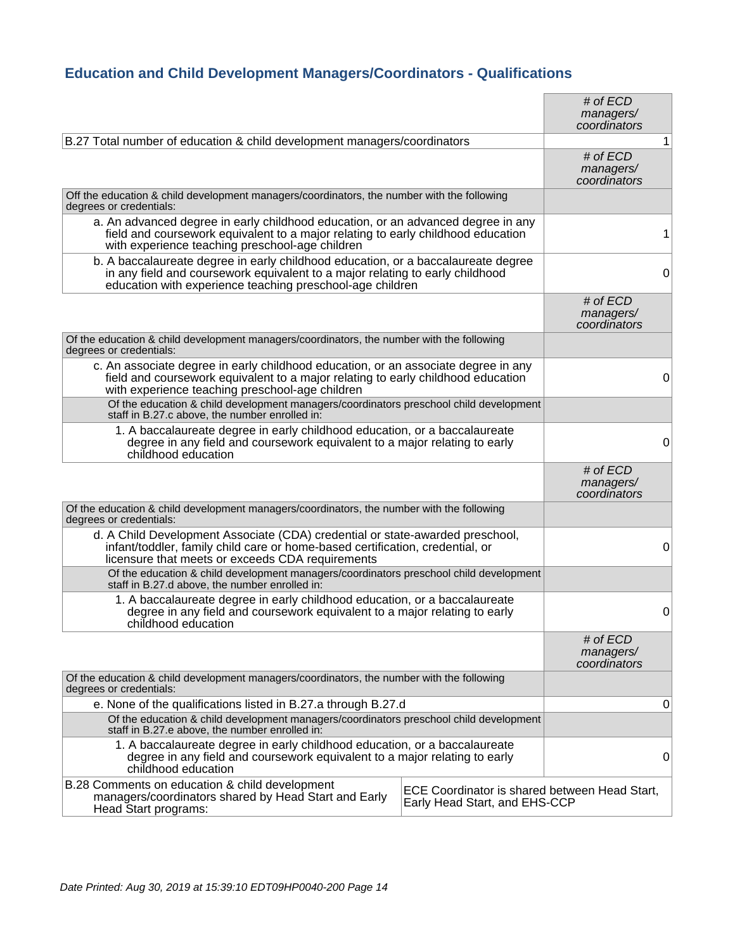## **Education and Child Development Managers/Coordinators - Qualifications**

|                                                                                                                                                                                                                                 |                                                                                | # of $ECD$<br>managers/<br>coordinators |              |
|---------------------------------------------------------------------------------------------------------------------------------------------------------------------------------------------------------------------------------|--------------------------------------------------------------------------------|-----------------------------------------|--------------|
| B.27 Total number of education & child development managers/coordinators                                                                                                                                                        |                                                                                |                                         | $\mathbf{1}$ |
|                                                                                                                                                                                                                                 |                                                                                | # of $ECD$<br>managers/<br>coordinators |              |
| Off the education & child development managers/coordinators, the number with the following<br>degrees or credentials:                                                                                                           |                                                                                |                                         |              |
| a. An advanced degree in early childhood education, or an advanced degree in any<br>field and coursework equivalent to a major relating to early childhood education<br>with experience teaching preschool-age children         |                                                                                |                                         | 1            |
| b. A baccalaureate degree in early childhood education, or a baccalaureate degree<br>in any field and coursework equivalent to a major relating to early childhood<br>education with experience teaching preschool-age children |                                                                                |                                         | 0            |
|                                                                                                                                                                                                                                 |                                                                                | # of $ECD$<br>managers/<br>coordinators |              |
| Of the education & child development managers/coordinators, the number with the following<br>degrees or credentials:                                                                                                            |                                                                                |                                         |              |
| c. An associate degree in early childhood education, or an associate degree in any<br>field and coursework equivalent to a major relating to early childhood education<br>with experience teaching preschool-age children       |                                                                                |                                         | 0            |
| Of the education & child development managers/coordinators preschool child development<br>staff in B.27.c above, the number enrolled in:                                                                                        |                                                                                |                                         |              |
| 1. A baccalaureate degree in early childhood education, or a baccalaureate<br>degree in any field and coursework equivalent to a major relating to early<br>childhood education                                                 |                                                                                |                                         | 0            |
|                                                                                                                                                                                                                                 |                                                                                | # of $ECD$<br>managers/<br>coordinators |              |
| Of the education & child development managers/coordinators, the number with the following<br>degrees or credentials:                                                                                                            |                                                                                |                                         |              |
| d. A Child Development Associate (CDA) credential or state-awarded preschool,<br>infant/toddler, family child care or home-based certification, credential, or<br>licensure that meets or exceeds CDA requirements              |                                                                                |                                         | 0            |
| Of the education & child development managers/coordinators preschool child development<br>staff in B.27.d above, the number enrolled in:                                                                                        |                                                                                |                                         |              |
| 1. A baccalaureate degree in early childhood education, or a baccalaureate<br>degree in any field and coursework equivalent to a major relating to early<br>childhood education                                                 |                                                                                |                                         | 0            |
|                                                                                                                                                                                                                                 |                                                                                | # of ECD<br>managers/<br>coordinators   |              |
| Of the education & child development managers/coordinators, the number with the following<br>degrees or credentials:                                                                                                            |                                                                                |                                         |              |
| e. None of the qualifications listed in B.27.a through B.27.d                                                                                                                                                                   |                                                                                |                                         | 0            |
| Of the education & child development managers/coordinators preschool child development<br>staff in B.27.e above, the number enrolled in:                                                                                        |                                                                                |                                         |              |
| 1. A baccalaureate degree in early childhood education, or a baccalaureate<br>degree in any field and coursework equivalent to a major relating to early<br>childhood education                                                 |                                                                                |                                         | 0            |
| B.28 Comments on education & child development<br>managers/coordinators shared by Head Start and Early<br>Head Start programs:                                                                                                  | ECE Coordinator is shared between Head Start,<br>Early Head Start, and EHS-CCP |                                         |              |
|                                                                                                                                                                                                                                 |                                                                                |                                         |              |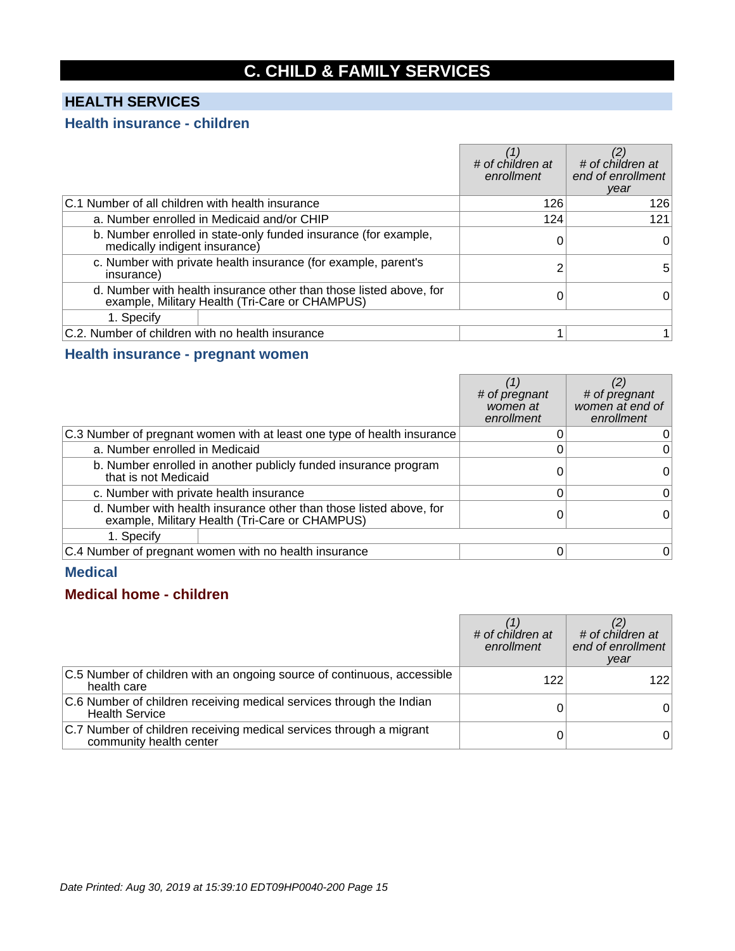## **C. CHILD & FAMILY SERVICES**

## **HEALTH SERVICES**

#### **Health insurance - children**

|                                                                                                                      | # of children at<br>enrollment | # of children at<br>end of enrollment<br>year |
|----------------------------------------------------------------------------------------------------------------------|--------------------------------|-----------------------------------------------|
| C.1 Number of all children with health insurance                                                                     | 126                            | 126                                           |
| a. Number enrolled in Medicaid and/or CHIP                                                                           | 124                            | 121                                           |
| b. Number enrolled in state-only funded insurance (for example,<br>medically indigent insurance)                     |                                | 0                                             |
| c. Number with private health insurance (for example, parent's<br>insurance)                                         |                                | 5                                             |
| d. Number with health insurance other than those listed above, for<br>example, Military Health (Tri-Care or CHAMPUS) |                                |                                               |
| 1. Specify                                                                                                           |                                |                                               |
| C.2. Number of children with no health insurance                                                                     |                                |                                               |

#### **Health insurance - pregnant women**

|                                         |                                                                                                                      | # of pregnant<br>women at<br>enrollment | # of pregnant<br>women at end of<br>enrollment |
|-----------------------------------------|----------------------------------------------------------------------------------------------------------------------|-----------------------------------------|------------------------------------------------|
|                                         | C.3 Number of pregnant women with at least one type of health insurance                                              |                                         | 0                                              |
| a. Number enrolled in Medicaid          |                                                                                                                      |                                         | 0                                              |
| that is not Medicaid                    | b. Number enrolled in another publicly funded insurance program                                                      |                                         | 0                                              |
| c. Number with private health insurance |                                                                                                                      |                                         | 0                                              |
|                                         | d. Number with health insurance other than those listed above, for<br>example, Military Health (Tri-Care or CHAMPUS) |                                         |                                                |
| 1. Specify                              |                                                                                                                      |                                         |                                                |
|                                         | C.4 Number of pregnant women with no health insurance                                                                |                                         | 0                                              |

#### **Medical**

#### **Medical home - children**

|                                                                                                | # of children at<br>enrollment | # of children at<br>end of enrollment<br>year |
|------------------------------------------------------------------------------------------------|--------------------------------|-----------------------------------------------|
| C.5 Number of children with an ongoing source of continuous, accessible<br>health care         | 122                            | 1221                                          |
| C.6 Number of children receiving medical services through the Indian<br><b>Health Service</b>  |                                |                                               |
| C.7 Number of children receiving medical services through a migrant<br>community health center |                                |                                               |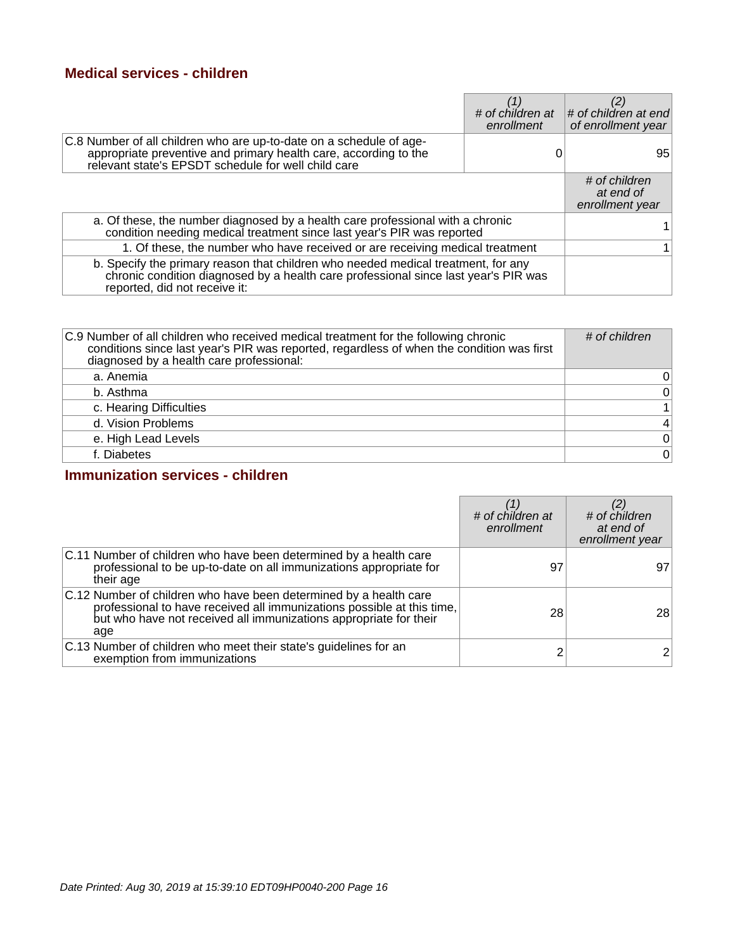#### **Medical services - children**

|                                                                                                                                                                                                           | # of children at<br>enrollment | # of children at end<br>of enrollment year    |
|-----------------------------------------------------------------------------------------------------------------------------------------------------------------------------------------------------------|--------------------------------|-----------------------------------------------|
| C.8 Number of all children who are up-to-date on a schedule of age-<br>appropriate preventive and primary health care, according to the<br>relevant state's EPSDT schedule for well child care            |                                | 95                                            |
|                                                                                                                                                                                                           |                                | # of children<br>at end of<br>enrollment year |
| a. Of these, the number diagnosed by a health care professional with a chronic<br>condition needing medical treatment since last year's PIR was reported                                                  |                                |                                               |
| 1. Of these, the number who have received or are receiving medical treatment                                                                                                                              |                                |                                               |
| b. Specify the primary reason that children who needed medical treatment, for any<br>chronic condition diagnosed by a health care professional since last year's PIR was<br>reported, did not receive it: |                                |                                               |

| C.9 Number of all children who received medical treatment for the following chronic<br>conditions since last year's PIR was reported, regardless of when the condition was first<br>diagnosed by a health care professional: | # of children  |
|------------------------------------------------------------------------------------------------------------------------------------------------------------------------------------------------------------------------------|----------------|
| a. Anemia                                                                                                                                                                                                                    | 0              |
| b. Asthma                                                                                                                                                                                                                    | $\pmb{0}$      |
| c. Hearing Difficulties                                                                                                                                                                                                      | $\mathbf{1}$   |
| d. Vision Problems                                                                                                                                                                                                           | $\overline{4}$ |
| e. High Lead Levels                                                                                                                                                                                                          | $\pmb{0}$      |
| f. Diabetes                                                                                                                                                                                                                  | $\mathbf 0$    |

#### **Immunization services - children**

|                                                                                                                                                                                                                         | # of children at<br>enrollment | # of children<br>at end of<br>enrollment year |
|-------------------------------------------------------------------------------------------------------------------------------------------------------------------------------------------------------------------------|--------------------------------|-----------------------------------------------|
| C.11 Number of children who have been determined by a health care<br>professional to be up-to-date on all immunizations appropriate for<br>their age                                                                    | 97                             | 97                                            |
| C.12 Number of children who have been determined by a health care<br>professional to have received all immunizations possible at this time,<br>but who have not received all immunizations appropriate for their<br>age | 28                             | 28                                            |
| C.13 Number of children who meet their state's guidelines for an<br>exemption from immunizations                                                                                                                        |                                | $\overline{2}$                                |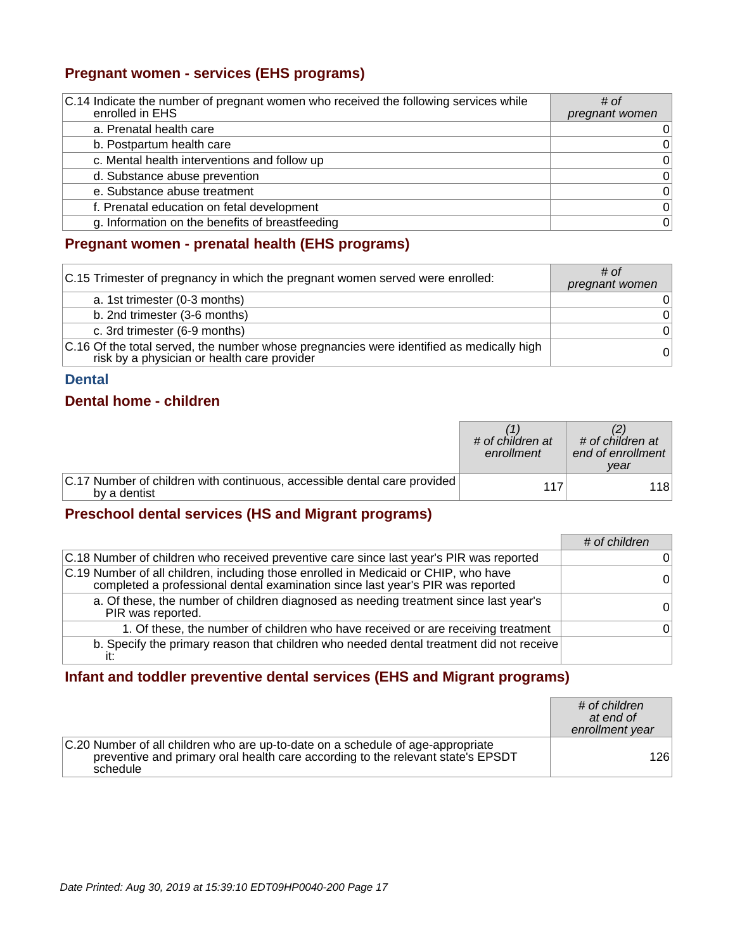## **Pregnant women - services (EHS programs)**

| C.14 Indicate the number of pregnant women who received the following services while | # of           |
|--------------------------------------------------------------------------------------|----------------|
| enrolled in EHS                                                                      | pregnant women |
| a. Prenatal health care                                                              | 0              |
| b. Postpartum health care                                                            | 0              |
| c. Mental health interventions and follow up                                         | $\Omega$       |
| d. Substance abuse prevention                                                        | 0              |
| e. Substance abuse treatment                                                         | $\Omega$       |
| f. Prenatal education on fetal development                                           | $\Omega$       |
| g. Information on the benefits of breastfeeding                                      | $\Omega$       |

#### **Pregnant women - prenatal health (EHS programs)**

| C.15 Trimester of pregnancy in which the pregnant women served were enrolled:                                                           | # of<br>pregnant women |
|-----------------------------------------------------------------------------------------------------------------------------------------|------------------------|
| a. 1st trimester (0-3 months)                                                                                                           | 01                     |
| b. 2nd trimester (3-6 months)                                                                                                           | $\Omega$               |
| c. 3rd trimester (6-9 months)                                                                                                           | 0                      |
| C.16 Of the total served, the number whose pregnancies were identified as medically high<br>risk by a physician or health care provider | 0                      |

#### **Dental**

#### **Dental home - children**

|                                                                                          | # of children at<br>enrollment | # of children at<br>end of enrollment<br>vear |
|------------------------------------------------------------------------------------------|--------------------------------|-----------------------------------------------|
| C.17 Number of children with continuous, accessible dental care provided<br>by a dentist | 117                            | 1181                                          |

#### **Preschool dental services (HS and Migrant programs)**

|                                                                                                                                                                       | # of children |
|-----------------------------------------------------------------------------------------------------------------------------------------------------------------------|---------------|
| C.18 Number of children who received preventive care since last year's PIR was reported                                                                               | $\Omega$      |
| C.19 Number of all children, including those enrolled in Medicaid or CHIP, who have<br>completed a professional dental examination since last year's PIR was reported | $\Omega$      |
| a. Of these, the number of children diagnosed as needing treatment since last year's<br>PIR was reported.                                                             | $\Omega$      |
| 1. Of these, the number of children who have received or are receiving treatment                                                                                      | $\Omega$      |
| b. Specify the primary reason that children who needed dental treatment did not receive                                                                               |               |

#### **Infant and toddler preventive dental services (EHS and Migrant programs)**

|                                                                                                                                                                                | # of children<br>at end of<br>enrollment year |
|--------------------------------------------------------------------------------------------------------------------------------------------------------------------------------|-----------------------------------------------|
| C.20 Number of all children who are up-to-date on a schedule of age-appropriate<br>preventive and primary oral health care according to the relevant state's EPSDT<br>schedule | 126                                           |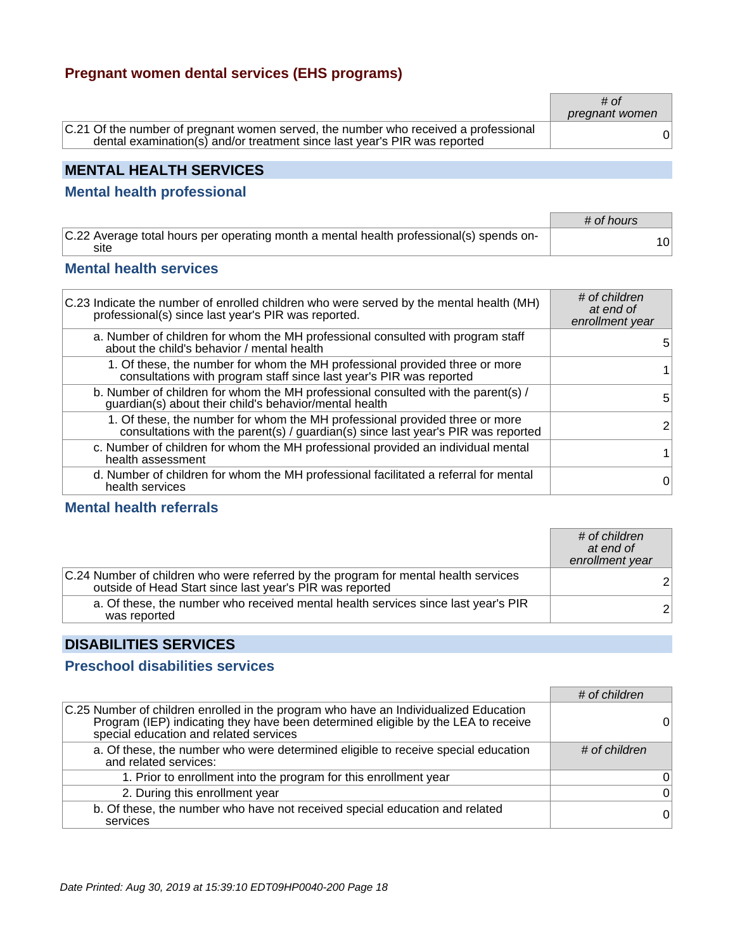#### **Pregnant women dental services (EHS programs)**

|                                                                                                                                                                  | # $of$<br>pregnant women |
|------------------------------------------------------------------------------------------------------------------------------------------------------------------|--------------------------|
| C.21 Of the number of pregnant women served, the number who received a professional<br>dental examination(s) and/or treatment since last year's PIR was reported |                          |

## **MENTAL HEALTH SERVICES**

#### **Mental health professional**

|                                                                                                 | # of hours |
|-------------------------------------------------------------------------------------------------|------------|
| C.22 Average total hours per operating month a mental health professional(s) spends on-<br>site | 10         |

#### **Mental health services**

| C.23 Indicate the number of enrolled children who were served by the mental health (MH)<br>professional(s) since last year's PIR was reported.                   | # of children<br>at end of<br>enrollment year |
|------------------------------------------------------------------------------------------------------------------------------------------------------------------|-----------------------------------------------|
| a. Number of children for whom the MH professional consulted with program staff<br>about the child's behavior / mental health                                    | 5.                                            |
| 1. Of these, the number for whom the MH professional provided three or more<br>consultations with program staff since last year's PIR was reported               |                                               |
| b. Number of children for whom the MH professional consulted with the parent(s) /<br>guardian(s) about their child's behavior/mental health                      | 5                                             |
| 1. Of these, the number for whom the MH professional provided three or more<br>consultations with the parent(s) / guardian(s) since last year's PIR was reported | $\overline{2}$                                |
| c. Number of children for whom the MH professional provided an individual mental<br>health assessment                                                            |                                               |
| d. Number of children for whom the MH professional facilitated a referral for mental<br>health services                                                          | 0                                             |

## **Mental health referrals**

|                                                                                                                                                 | # of children<br>at end of<br>enrollment year |
|-------------------------------------------------------------------------------------------------------------------------------------------------|-----------------------------------------------|
| C.24 Number of children who were referred by the program for mental health services<br>outside of Head Start since last year's PIR was reported | $\overline{2}$                                |
| a. Of these, the number who received mental health services since last year's PIR<br>was reported                                               | 2 <sup>1</sup>                                |

#### **DISABILITIES SERVICES**

#### **Preschool disabilities services**

|                                                                                                                                                                                                                     | # of children |
|---------------------------------------------------------------------------------------------------------------------------------------------------------------------------------------------------------------------|---------------|
| C.25 Number of children enrolled in the program who have an Individualized Education<br>Program (IEP) indicating they have been determined eligible by the LEA to receive<br>special education and related services |               |
| a. Of these, the number who were determined eligible to receive special education<br>and related services:                                                                                                          | # of children |
| 1. Prior to enrollment into the program for this enrollment year                                                                                                                                                    | $\Omega$      |
| 2. During this enrollment year                                                                                                                                                                                      | $\Omega$      |
| b. Of these, the number who have not received special education and related<br>services                                                                                                                             | $\Omega$      |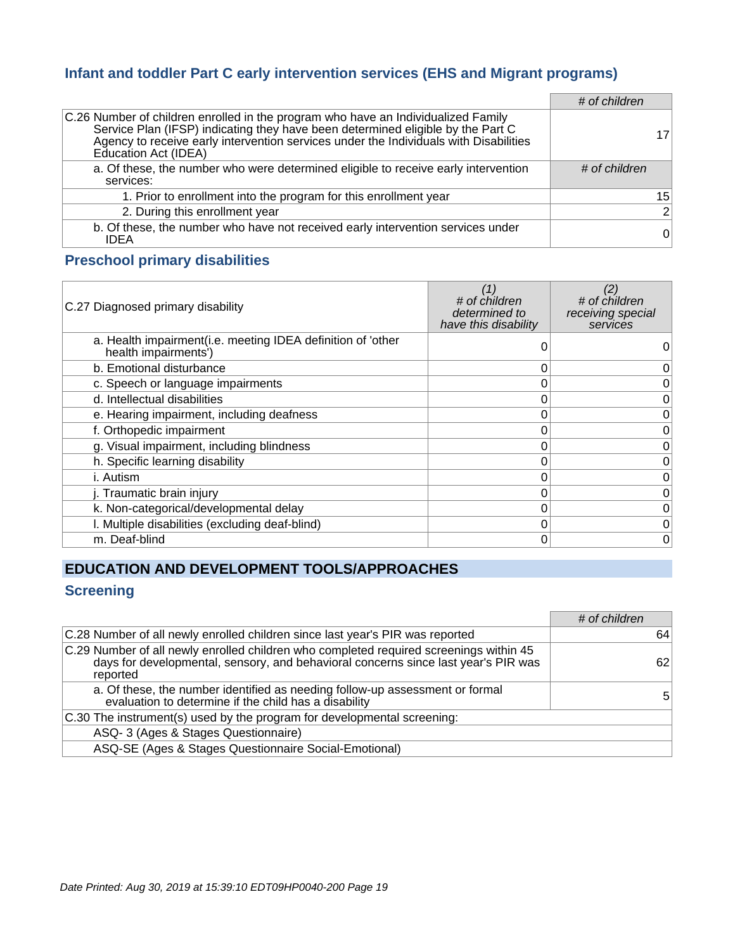#### **Infant and toddler Part C early intervention services (EHS and Migrant programs)**

|                                                                                                                                                                                                                                                                                       | # of children  |
|---------------------------------------------------------------------------------------------------------------------------------------------------------------------------------------------------------------------------------------------------------------------------------------|----------------|
| C.26 Number of children enrolled in the program who have an Individualized Family<br>Service Plan (IFSP) indicating they have been determined eligible by the Part C<br>Agency to receive early intervention services under the Individuals with Disabilities<br>Education Act (IDEA) | 17             |
| a. Of these, the number who were determined eligible to receive early intervention<br>services:                                                                                                                                                                                       | # of children  |
| 1. Prior to enrollment into the program for this enrollment year                                                                                                                                                                                                                      | 15             |
| 2. During this enrollment year                                                                                                                                                                                                                                                        | $\overline{2}$ |
| b. Of these, the number who have not received early intervention services under<br><b>IDEA</b>                                                                                                                                                                                        | $\overline{0}$ |

#### **Preschool primary disabilities**

| C.27 Diagnosed primary disability                                                   | (1)<br># of children<br>determined to<br>have this disability | (2)<br># of children<br>receiving special<br>services |
|-------------------------------------------------------------------------------------|---------------------------------------------------------------|-------------------------------------------------------|
| a. Health impairment(i.e. meeting IDEA definition of 'other<br>health impairments') |                                                               |                                                       |
| b. Emotional disturbance                                                            | 0                                                             | 0                                                     |
| c. Speech or language impairments                                                   |                                                               | 0                                                     |
| d. Intellectual disabilities                                                        |                                                               | 0                                                     |
| e. Hearing impairment, including deafness                                           |                                                               | 0                                                     |
| f. Orthopedic impairment                                                            |                                                               | 0                                                     |
| g. Visual impairment, including blindness                                           | 0                                                             | 0                                                     |
| h. Specific learning disability                                                     | 0                                                             | 0                                                     |
| i. Autism                                                                           | 0                                                             | 0                                                     |
| j. Traumatic brain injury                                                           |                                                               | 0                                                     |
| k. Non-categorical/developmental delay                                              |                                                               | 0                                                     |
| I. Multiple disabilities (excluding deaf-blind)                                     |                                                               | 0                                                     |
| m. Deaf-blind                                                                       | O                                                             | $\overline{0}$                                        |

## **EDUCATION AND DEVELOPMENT TOOLS/APPROACHES**

## **Screening**

|                                                                                                                                                                                          | # of children |
|------------------------------------------------------------------------------------------------------------------------------------------------------------------------------------------|---------------|
| C.28 Number of all newly enrolled children since last year's PIR was reported                                                                                                            | 64            |
| C.29 Number of all newly enrolled children who completed required screenings within 45<br>days for developmental, sensory, and behavioral concerns since last year's PIR was<br>reported | 62            |
| a. Of these, the number identified as needing follow-up assessment or formal<br>evaluation to determine if the child has a disability                                                    | 5             |
| C.30 The instrument(s) used by the program for developmental screening:                                                                                                                  |               |
| ASQ-3 (Ages & Stages Questionnaire)                                                                                                                                                      |               |
| ASQ-SE (Ages & Stages Questionnaire Social-Emotional)                                                                                                                                    |               |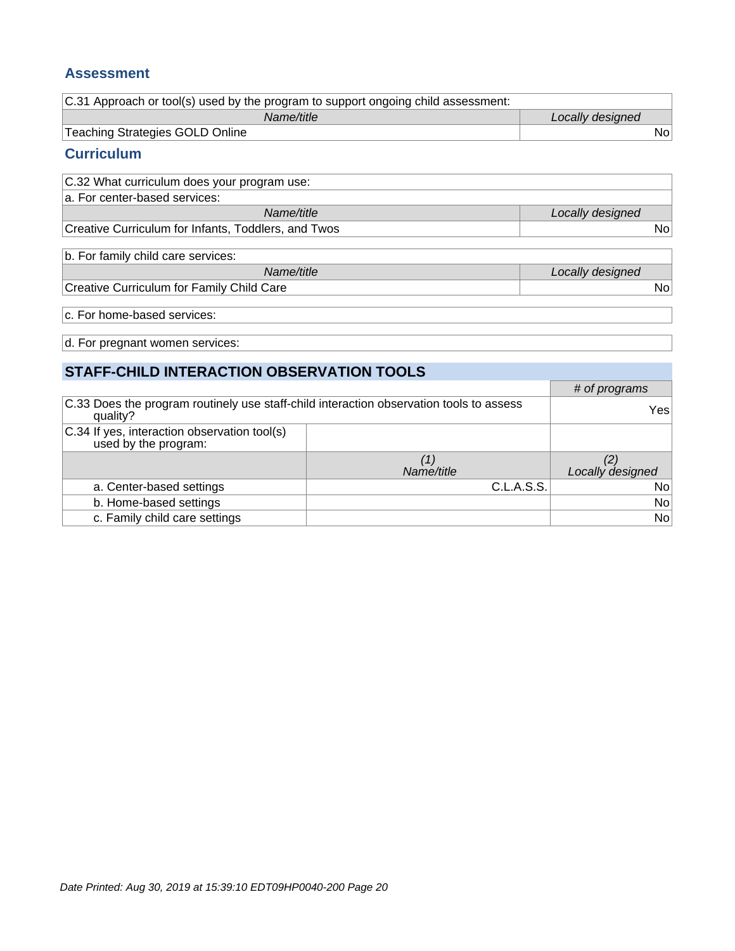#### **Assessment**

| C.31 Approach or tool(s) used by the program to support ongoing child assessment: |                  |
|-----------------------------------------------------------------------------------|------------------|
| Name/title                                                                        | Locally designed |
| Teaching Strategies GOLD Online                                                   | N٥               |
| <b>Curriculum</b>                                                                 |                  |

| C.32 What curriculum does your program use:         |                  |
|-----------------------------------------------------|------------------|
| a. For center-based services:                       |                  |
| Name/title                                          | Locally designed |
| Creative Curriculum for Infants, Toddlers, and Twos | N٥               |

| $ b $ . For family child care services:   |                  |
|-------------------------------------------|------------------|
| Name/title                                | Locally designed |
| Creative Curriculum for Family Child Care | No               |

c. For home-based services:

d. For pregnant women services:

| STAFF-CHILD INTERACTION OBSERVATION TOOLS                                                           |            |                  |  |
|-----------------------------------------------------------------------------------------------------|------------|------------------|--|
|                                                                                                     |            | # of programs    |  |
| C.33 Does the program routinely use staff-child interaction observation tools to assess<br>quality? |            | Yes              |  |
| C.34 If yes, interaction observation tool(s)<br>used by the program:                                |            |                  |  |
|                                                                                                     |            | (2)              |  |
|                                                                                                     | Name/title | Locally designed |  |
| a. Center-based settings                                                                            | C.L.A.S.S. | No <sub>1</sub>  |  |
| b. Home-based settings                                                                              |            | No               |  |
| c. Family child care settings                                                                       |            | No               |  |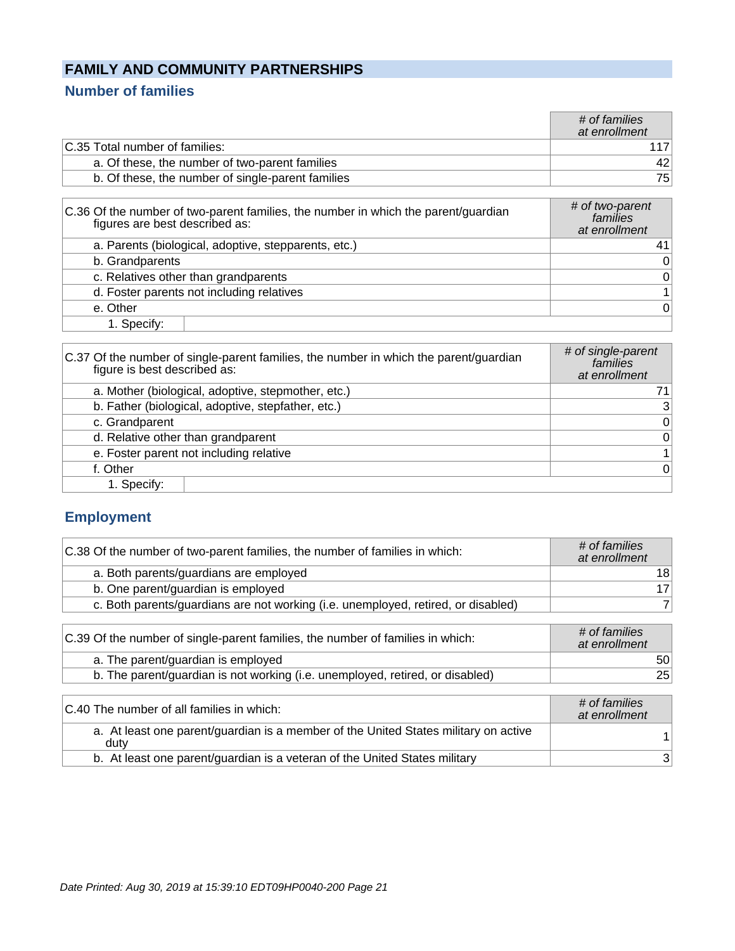## **FAMILY AND COMMUNITY PARTNERSHIPS**

## **Number of families**

|                                                   | # of families<br>at enrollment |
|---------------------------------------------------|--------------------------------|
| C.35 Total number of families:                    |                                |
| a. Of these, the number of two-parent families    | 42                             |
| b. Of these, the number of single-parent families | 751                            |
|                                                   |                                |

| C.36 Of the number of two-parent families, the number in which the parent/guardian<br>figures are best described as: | # of two-parent<br>families<br>at enrollment |
|----------------------------------------------------------------------------------------------------------------------|----------------------------------------------|
| a. Parents (biological, adoptive, stepparents, etc.)                                                                 | 41                                           |
| b. Grandparents                                                                                                      | $\overline{0}$                               |
| c. Relatives other than grandparents                                                                                 | $\boldsymbol{0}$                             |
| d. Foster parents not including relatives                                                                            |                                              |
| e. Other                                                                                                             | $\overline{0}$                               |
| 1. Specify:                                                                                                          |                                              |

| C.37 Of the number of single-parent families, the number in which the parent/guardian<br>figure is best described as: | # of single-parent<br>families<br>at enrollment |
|-----------------------------------------------------------------------------------------------------------------------|-------------------------------------------------|
| a. Mother (biological, adoptive, stepmother, etc.)                                                                    | 71                                              |
| b. Father (biological, adoptive, stepfather, etc.)                                                                    | 3                                               |
| c. Grandparent                                                                                                        | $\mathbf 0$                                     |
| d. Relative other than grandparent                                                                                    | $\mathbf 0$                                     |
| e. Foster parent not including relative                                                                               | $\mathbf 1$                                     |
| f. Other                                                                                                              | $\Omega$                                        |
| 1. Specify:                                                                                                           |                                                 |

## **Employment**

| C.38 Of the number of two-parent families, the number of families in which:       | # of families<br>at enrollment |
|-----------------------------------------------------------------------------------|--------------------------------|
| a. Both parents/guardians are employed                                            | 18                             |
| b. One parent/guardian is employed                                                | 17                             |
| c. Both parents/guardians are not working (i.e. unemployed, retired, or disabled) | 7                              |
|                                                                                   |                                |
| C.39 Of the number of single-parent families, the number of families in which:    | # of families<br>at enrollment |
| a. The parent/guardian is employed                                                | 50                             |
| b. The parent/guardian is not working (i.e. unemployed, retired, or disabled)     | 25                             |
|                                                                                   |                                |
| $\Gamma$ 10 The number of all families in which:                                  | # of families                  |

| C.40 The number of all families in which:                                                   | # of families<br>at enrollment |
|---------------------------------------------------------------------------------------------|--------------------------------|
| a. At least one parent/guardian is a member of the United States military on active<br>duty |                                |
| b. At least one parent/guardian is a veteran of the United States military                  | 3                              |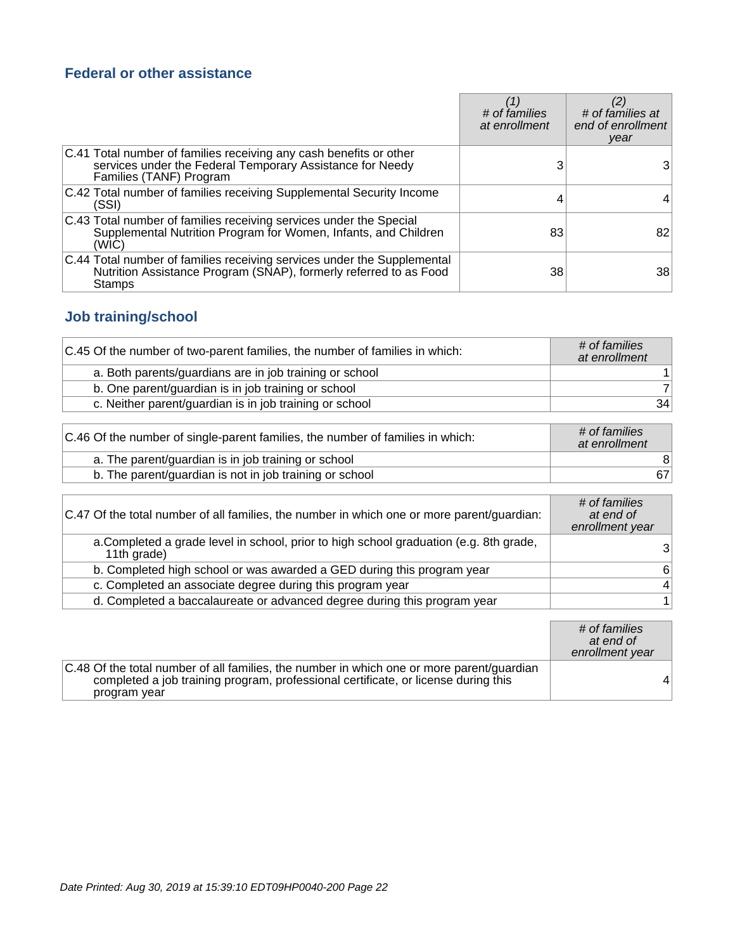#### **Federal or other assistance**

|                                                                                                                                                            | # of families<br>at enrollment | # of families at<br>end of enrollment<br>year |
|------------------------------------------------------------------------------------------------------------------------------------------------------------|--------------------------------|-----------------------------------------------|
| C.41 Total number of families receiving any cash benefits or other<br>services under the Federal Temporary Assistance for Needy<br>Families (TANF) Program |                                | 3                                             |
| C.42 Total number of families receiving Supplemental Security Income<br>(SSI)                                                                              |                                | 4                                             |
| C.43 Total number of families receiving services under the Special<br>Supplemental Nutrition Program for Women, Infants, and Children<br>(WIC)             | 83                             | 82                                            |
| C.44 Total number of families receiving services under the Supplemental<br>Nutrition Assistance Program (SNAP), formerly referred to as Food<br>Stamps     | 38                             | 38                                            |

## **Job training/school**

| C.45 Of the number of two-parent families, the number of families in which: | # of families<br>at enrollment |
|-----------------------------------------------------------------------------|--------------------------------|
| a. Both parents/guardians are in job training or school                     |                                |
| b. One parent/guardian is in job training or school                         |                                |
| c. Neither parent/guardian is in job training or school                     | 34                             |

| C.46 Of the number of single-parent families, the number of families in which: | # of families<br>at enrollment |
|--------------------------------------------------------------------------------|--------------------------------|
| a. The parent/guardian is in job training or school                            |                                |
| b. The parent/guardian is not in job training or school                        | 67                             |

| C.47 Of the total number of all families, the number in which one or more parent/guardian:            | # of families<br>at end of<br>enrollment year |
|-------------------------------------------------------------------------------------------------------|-----------------------------------------------|
| a. Completed a grade level in school, prior to high school graduation (e.g. 8th grade,<br>11th grade) | 3                                             |
| b. Completed high school or was awarded a GED during this program year                                | 6                                             |
| c. Completed an associate degree during this program year                                             | 4                                             |
| d. Completed a baccalaureate or advanced degree during this program year                              | 1                                             |

|                                                                                                                                                                                                 | # of families<br>at end of<br>enrollment year |
|-------------------------------------------------------------------------------------------------------------------------------------------------------------------------------------------------|-----------------------------------------------|
| C.48 Of the total number of all families, the number in which one or more parent/guardian<br>completed a job training program, professional certificate, or license during this<br>program year |                                               |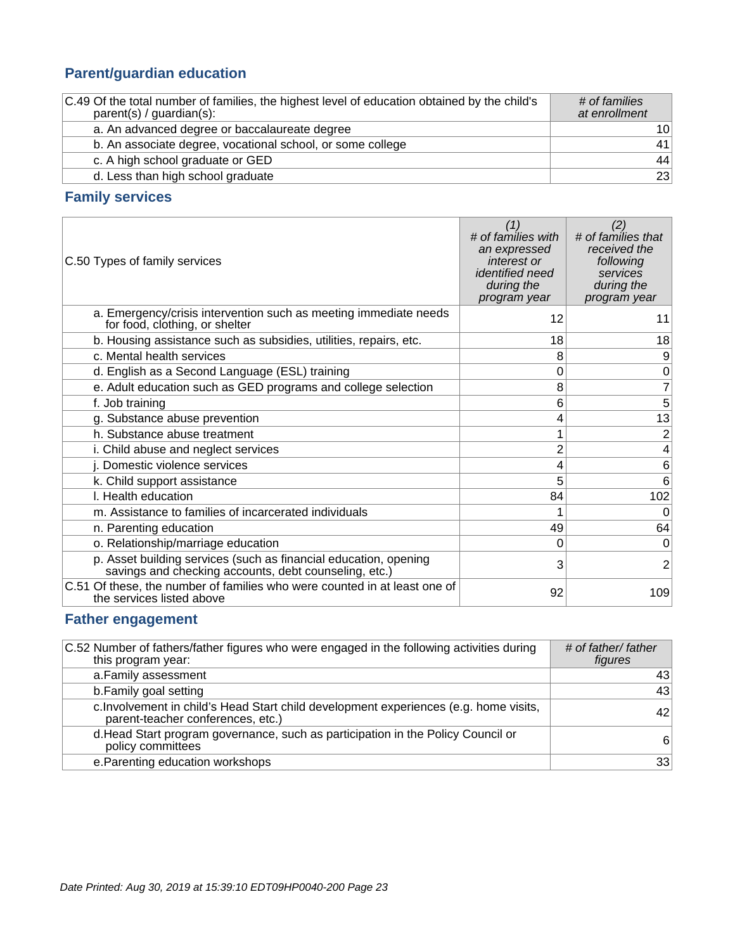## **Parent/guardian education**

| C.49 Of the total number of families, the highest level of education obtained by the child's<br>$parent(s) / quartian(s)$ : | # of families<br>at enrollment |
|-----------------------------------------------------------------------------------------------------------------------------|--------------------------------|
| a. An advanced degree or baccalaureate degree                                                                               | 10 <sup>1</sup>                |
| b. An associate degree, vocational school, or some college                                                                  | 41                             |
| c. A high school graduate or GED                                                                                            | 44                             |
| d. Less than high school graduate                                                                                           | 23                             |

#### **Family services**

| C.50 Types of family services                                                                                             | (1)<br># of families with<br>an expressed<br>interest or<br><i>identified need</i><br>during the<br>program year | (2)<br># of families that<br>received the<br>following<br>services<br>during the<br>program year |
|---------------------------------------------------------------------------------------------------------------------------|------------------------------------------------------------------------------------------------------------------|--------------------------------------------------------------------------------------------------|
| a. Emergency/crisis intervention such as meeting immediate needs<br>for food, clothing, or shelter                        | 12                                                                                                               | 11                                                                                               |
| b. Housing assistance such as subsidies, utilities, repairs, etc.                                                         | 18                                                                                                               | 18                                                                                               |
| c. Mental health services                                                                                                 | 8                                                                                                                | 9                                                                                                |
| d. English as a Second Language (ESL) training                                                                            | 0                                                                                                                | $\mathbf 0$                                                                                      |
| e. Adult education such as GED programs and college selection                                                             | 8                                                                                                                | $\overline{7}$                                                                                   |
| f. Job training                                                                                                           | 6                                                                                                                | 5 <sup>1</sup>                                                                                   |
| g. Substance abuse prevention                                                                                             | 4                                                                                                                | 13                                                                                               |
| h. Substance abuse treatment                                                                                              |                                                                                                                  | $\overline{2}$                                                                                   |
| i. Child abuse and neglect services                                                                                       | 2                                                                                                                | 4                                                                                                |
| j. Domestic violence services                                                                                             | 4                                                                                                                | 6                                                                                                |
| k. Child support assistance                                                                                               | 5                                                                                                                | $6 \overline{6}$                                                                                 |
| I. Health education                                                                                                       | 84                                                                                                               | 102                                                                                              |
| m. Assistance to families of incarcerated individuals                                                                     |                                                                                                                  | $\Omega$                                                                                         |
| n. Parenting education                                                                                                    | 49                                                                                                               | 64                                                                                               |
| o. Relationship/marriage education                                                                                        | 0                                                                                                                | $\overline{0}$                                                                                   |
| p. Asset building services (such as financial education, opening<br>savings and checking accounts, debt counseling, etc.) | 3                                                                                                                | $\overline{2}$                                                                                   |
| C.51 Of these, the number of families who were counted in at least one of<br>the services listed above                    | 92                                                                                                               | 109                                                                                              |

### **Father engagement**

| C.52 Number of fathers/father figures who were engaged in the following activities during<br>this program year:            | # of father/ father<br>figures |
|----------------------------------------------------------------------------------------------------------------------------|--------------------------------|
| a. Family assessment                                                                                                       | 43                             |
| b. Family goal setting                                                                                                     | 43                             |
| c. Involvement in child's Head Start child development experiences (e.g. home visits,<br>parent-teacher conferences, etc.) | 42                             |
| d. Head Start program governance, such as participation in the Policy Council or<br>policy committees                      | 6                              |
| e. Parenting education workshops                                                                                           | 33                             |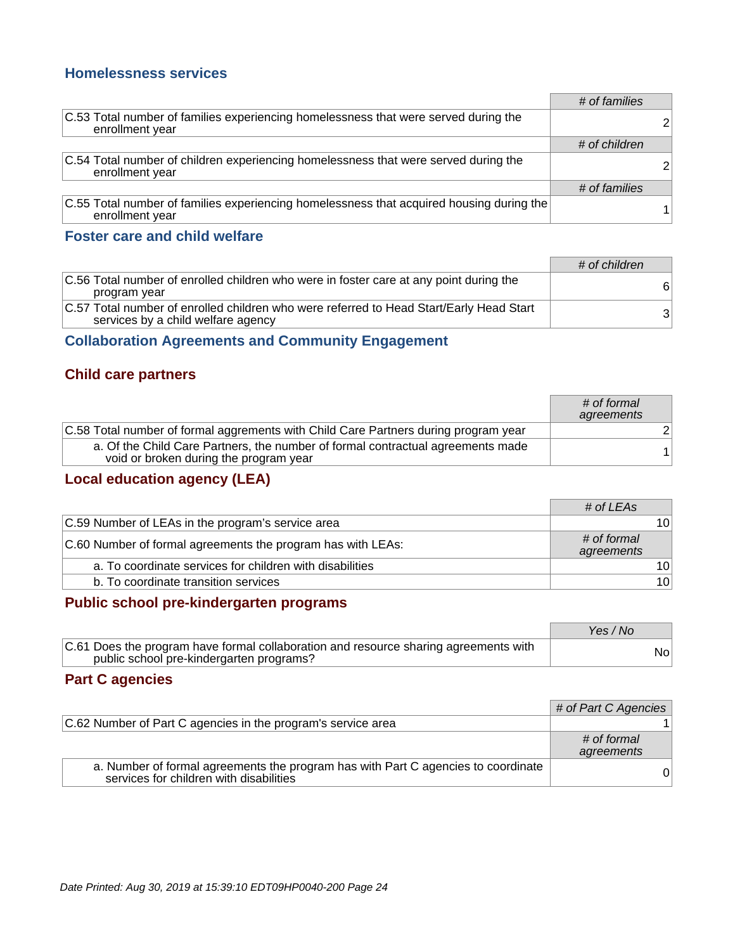#### **Homelessness services**

|                                                                                                             | # of families |  |
|-------------------------------------------------------------------------------------------------------------|---------------|--|
| C.53 Total number of families experiencing homelessness that were served during the<br>enrollment year      |               |  |
|                                                                                                             | # of children |  |
| C.54 Total number of children experiencing homelessness that were served during the<br>enrollment year      |               |  |
|                                                                                                             | # of families |  |
| C.55 Total number of families experiencing homelessness that acquired housing during the<br>enrollment year |               |  |

#### **Foster care and child welfare**

|                                                                                                                               | # of children |
|-------------------------------------------------------------------------------------------------------------------------------|---------------|
| C.56 Total number of enrolled children who were in foster care at any point during the<br>program year                        | 6             |
| C.57 Total number of enrolled children who were referred to Head Start/Early Head Start<br>services by a child welfare agency | 31            |

#### **Collaboration Agreements and Community Engagement**

#### **Child care partners**

|                                                                                                                           | # of formal<br>agreements |
|---------------------------------------------------------------------------------------------------------------------------|---------------------------|
| C.58 Total number of formal aggrements with Child Care Partners during program year                                       |                           |
| a. Of the Child Care Partners, the number of formal contractual agreements made<br>void or broken during the program year |                           |

## **Local education agency (LEA)**

|                                                             | # of LEAs                 |                 |
|-------------------------------------------------------------|---------------------------|-----------------|
| C.59 Number of LEAs in the program's service area           |                           | 10 <sup>1</sup> |
| C.60 Number of formal agreements the program has with LEAs: | # of formal<br>agreements |                 |
| a. To coordinate services for children with disabilities    |                           | 10 <sup>1</sup> |
| b. To coordinate transition services                        |                           | 10 <sup>1</sup> |

#### **Public school pre-kindergarten programs**

|                                                                                                                                  | Yes / No |
|----------------------------------------------------------------------------------------------------------------------------------|----------|
| C.61 Does the program have formal collaboration and resource sharing agreements with<br>public school pre-kindergarten programs? | Nol      |

#### **Part C agencies**

|                                                                                                                              | # of Part C Agencies      |
|------------------------------------------------------------------------------------------------------------------------------|---------------------------|
| C.62 Number of Part C agencies in the program's service area                                                                 |                           |
|                                                                                                                              | # of formal<br>agreements |
| a. Number of formal agreements the program has with Part C agencies to coordinate<br>services for children with disabilities |                           |